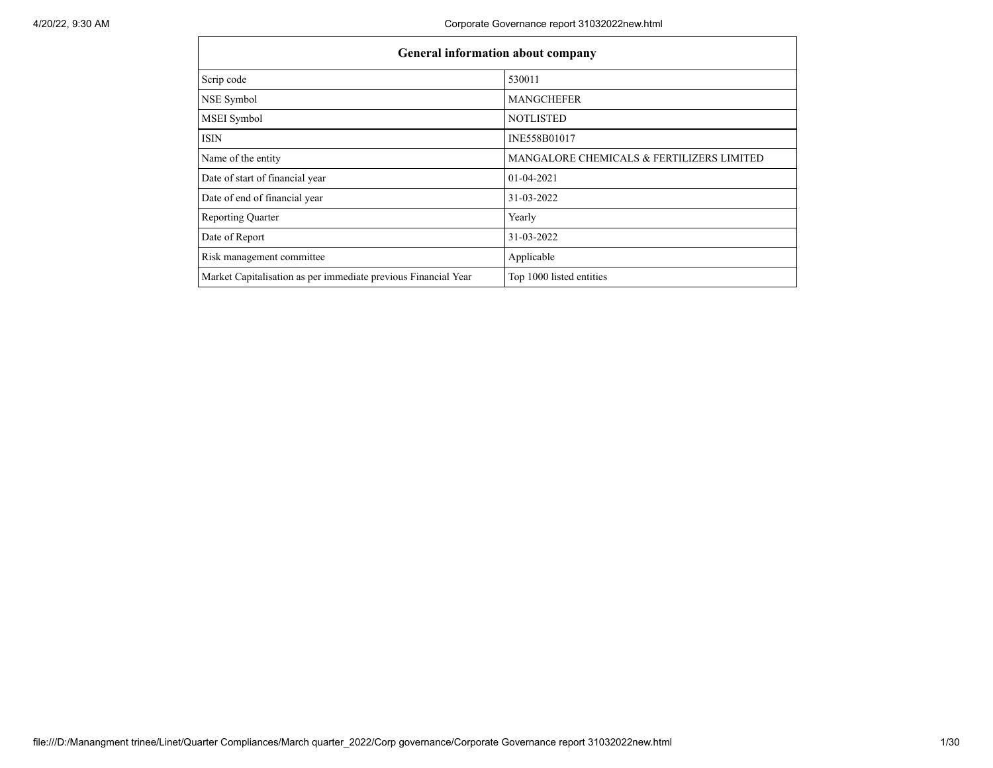$\mathsf{r}$ 

٦

| <b>General information about company</b>                       |                                           |
|----------------------------------------------------------------|-------------------------------------------|
| Scrip code                                                     | 530011                                    |
| NSE Symbol                                                     | <b>MANGCHEFER</b>                         |
| MSEI Symbol                                                    | <b>NOTLISTED</b>                          |
| ISIN                                                           | INE558B01017                              |
| Name of the entity                                             | MANGALORE CHEMICALS & FERTILIZERS LIMITED |
| Date of start of financial year                                | 01-04-2021                                |
| Date of end of financial year                                  | 31-03-2022                                |
| <b>Reporting Quarter</b>                                       | Yearly                                    |
| Date of Report                                                 | 31-03-2022                                |
| Risk management committee                                      | Applicable                                |
| Market Capitalisation as per immediate previous Financial Year | Top 1000 listed entities                  |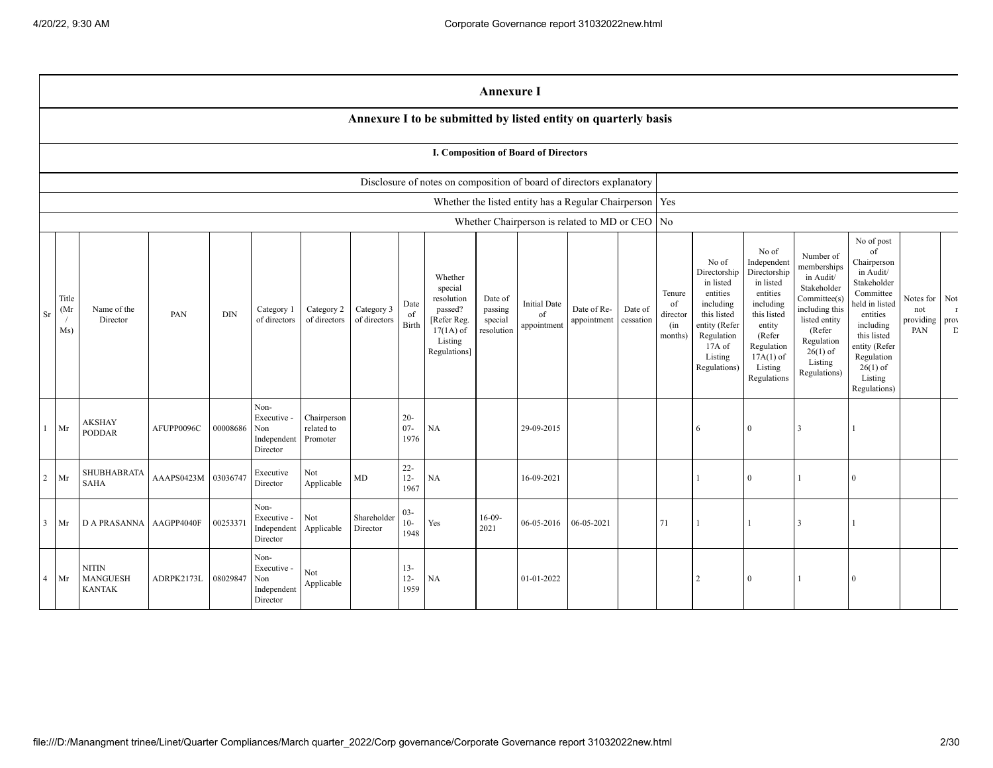|                |                     |                                           |            |            |                                                       |                                       |                            |                          |                                                                                                      | <b>Annexure I</b>                           |                                             |                                                                      |                      |                                            |                                                                                                                                                  |                                                                                                                                                                      |                                                                                                                                                                          |                                                                                                                                                                                                            |                                               |                                    |
|----------------|---------------------|-------------------------------------------|------------|------------|-------------------------------------------------------|---------------------------------------|----------------------------|--------------------------|------------------------------------------------------------------------------------------------------|---------------------------------------------|---------------------------------------------|----------------------------------------------------------------------|----------------------|--------------------------------------------|--------------------------------------------------------------------------------------------------------------------------------------------------|----------------------------------------------------------------------------------------------------------------------------------------------------------------------|--------------------------------------------------------------------------------------------------------------------------------------------------------------------------|------------------------------------------------------------------------------------------------------------------------------------------------------------------------------------------------------------|-----------------------------------------------|------------------------------------|
|                |                     |                                           |            |            |                                                       |                                       |                            |                          |                                                                                                      |                                             |                                             | Annexure I to be submitted by listed entity on quarterly basis       |                      |                                            |                                                                                                                                                  |                                                                                                                                                                      |                                                                                                                                                                          |                                                                                                                                                                                                            |                                               |                                    |
|                |                     |                                           |            |            |                                                       |                                       |                            |                          |                                                                                                      |                                             | <b>I. Composition of Board of Directors</b> |                                                                      |                      |                                            |                                                                                                                                                  |                                                                                                                                                                      |                                                                                                                                                                          |                                                                                                                                                                                                            |                                               |                                    |
|                |                     |                                           |            |            |                                                       |                                       |                            |                          |                                                                                                      |                                             |                                             | Disclosure of notes on composition of board of directors explanatory |                      |                                            |                                                                                                                                                  |                                                                                                                                                                      |                                                                                                                                                                          |                                                                                                                                                                                                            |                                               |                                    |
|                |                     |                                           |            |            |                                                       |                                       |                            |                          |                                                                                                      |                                             |                                             | Whether the listed entity has a Regular Chairperson   Yes            |                      |                                            |                                                                                                                                                  |                                                                                                                                                                      |                                                                                                                                                                          |                                                                                                                                                                                                            |                                               |                                    |
|                |                     |                                           |            |            |                                                       |                                       |                            |                          |                                                                                                      |                                             |                                             | Whether Chairperson is related to MD or CEO   No                     |                      |                                            |                                                                                                                                                  |                                                                                                                                                                      |                                                                                                                                                                          |                                                                                                                                                                                                            |                                               |                                    |
| Sr             | Title<br>(Mr<br>Ms) | Name of the<br>Director                   | PAN        | $\rm{DIN}$ | Category 1<br>of directors                            | Category 2<br>of directors            | Category 3<br>of directors | Date<br>of<br>Birth      | Whether<br>special<br>resolution<br>passed?<br>[Refer Reg.<br>$17(1A)$ of<br>Listing<br>Regulations] | Date of<br>passing<br>special<br>resolution | <b>Initial Date</b><br>of<br>appointment    | Date of Re-<br>appointment                                           | Date of<br>cessation | Tenure<br>of<br>director<br>(in<br>months) | No of<br>Directorship<br>in listed<br>entities<br>including<br>this listed<br>entity (Refer<br>Regulation<br>$17A$ of<br>Listing<br>Regulations) | No of<br>Independent<br>Directorship<br>in listed<br>entities<br>including<br>this listed<br>entity<br>(Refer<br>Regulation<br>$17A(1)$ of<br>Listing<br>Regulations | Number of<br>memberships<br>in Audit/<br>Stakeholder<br>Committee(s)<br>including this<br>listed entity<br>(Refer<br>Regulation<br>$26(1)$ of<br>Listing<br>Regulations) | No of post<br>of<br>Chairperson<br>in Audit/<br>Stakeholder<br>Committee<br>held in listed<br>entities<br>including<br>this listed<br>entity (Refer<br>Regulation<br>$26(1)$ of<br>Listing<br>Regulations) | Notes for Not<br>not<br>providing prov<br>PAN | $\,$ $\,$ $\,$ $\,$<br>$\mathbf D$ |
| $\mathbf{1}$   | Mr                  | <b>AKSHAY</b><br><b>PODDAR</b>            | AFUPP0096C | 00008686   | Non-<br>Executive -<br>Non<br>Independent<br>Director | Chairperson<br>related to<br>Promoter |                            | $20 -$<br>$07 -$<br>1976 | NA                                                                                                   |                                             | 29-09-2015                                  |                                                                      |                      |                                            | 6                                                                                                                                                | $\mathbf{0}$                                                                                                                                                         | $\mathcal{R}$                                                                                                                                                            |                                                                                                                                                                                                            |                                               |                                    |
| $\overline{2}$ | Mr                  | SHUBHABRATA<br><b>SAHA</b>                | AAAPS0423M | 03036747   | Executive<br>Director                                 | Not<br>Applicable                     | MD                         | $22 -$<br>$12 -$<br>1967 | NA                                                                                                   |                                             | 16-09-2021                                  |                                                                      |                      |                                            | $\mathbf{1}$                                                                                                                                     | $\overline{0}$                                                                                                                                                       | 1                                                                                                                                                                        | $\mathbf{0}$                                                                                                                                                                                               |                                               |                                    |
| 3              | Mr                  | <b>D A PRASANNA</b>                       | AAGPP4040F | 00253371   | Non-<br>Executive -<br>Independent<br>Director        | Not<br>Applicable                     | Shareholder<br>Director    | $03 -$<br>$10-$<br>1948  | Yes                                                                                                  | $16-09-$<br>2021                            | 06-05-2016                                  | 06-05-2021                                                           |                      | 71                                         |                                                                                                                                                  | $\mathbf{1}$                                                                                                                                                         | $\mathbf{3}$                                                                                                                                                             |                                                                                                                                                                                                            |                                               |                                    |
| $\overline{4}$ | Mr                  | <b>NITIN</b><br>MANGUESH<br><b>KANTAK</b> | ADRPK2173L | 08029847   | Non-<br>Executive -<br>Non<br>Independent<br>Director | Not<br>${\large \bf Applicable}$      |                            | $13 -$<br>$12 -$<br>1959 | NA                                                                                                   |                                             | 01-01-2022                                  |                                                                      |                      |                                            | $\overline{2}$                                                                                                                                   | $\overline{0}$                                                                                                                                                       | 1                                                                                                                                                                        | $\overline{0}$                                                                                                                                                                                             |                                               |                                    |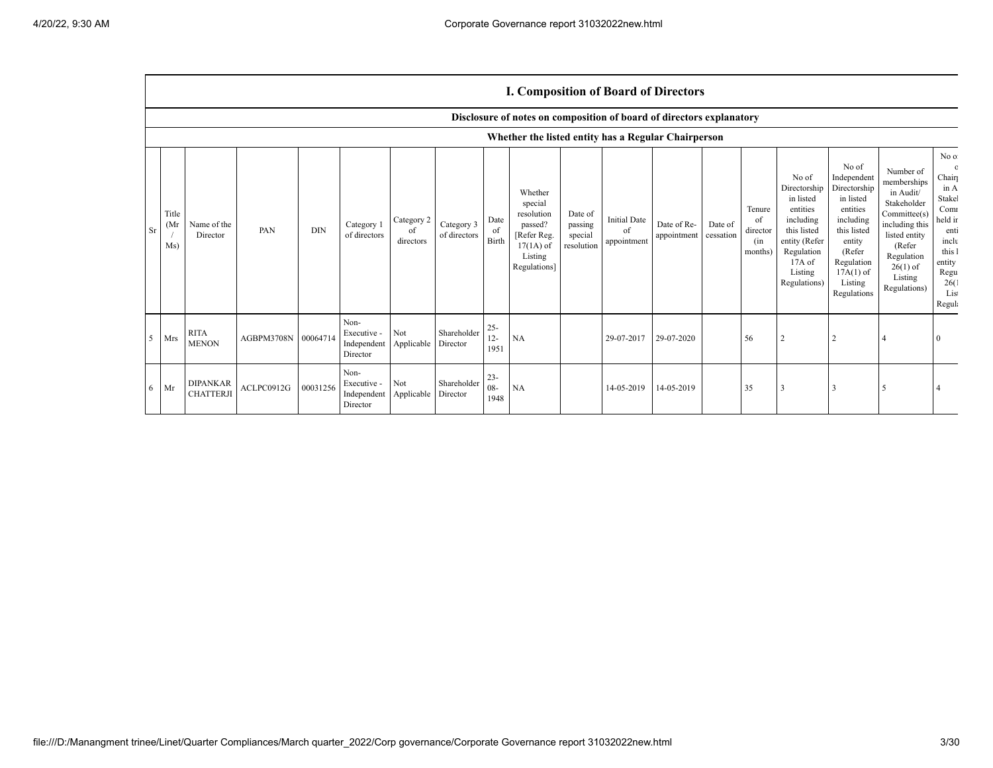## **I. Composition of Board of Directors**

|             |                     |                                     |            |            |                                                |                               |                            |                          | Disclosure of notes on composition of board of directors explanatory                                |                                             |                                          |                            |                      |                                            |                                                                                                                                                  |                                                                                                                                                                      |                                                                                                                                                                          |                                                                                                                                        |
|-------------|---------------------|-------------------------------------|------------|------------|------------------------------------------------|-------------------------------|----------------------------|--------------------------|-----------------------------------------------------------------------------------------------------|---------------------------------------------|------------------------------------------|----------------------------|----------------------|--------------------------------------------|--------------------------------------------------------------------------------------------------------------------------------------------------|----------------------------------------------------------------------------------------------------------------------------------------------------------------------|--------------------------------------------------------------------------------------------------------------------------------------------------------------------------|----------------------------------------------------------------------------------------------------------------------------------------|
|             |                     |                                     |            |            |                                                |                               |                            |                          | Whether the listed entity has a Regular Chairperson                                                 |                                             |                                          |                            |                      |                                            |                                                                                                                                                  |                                                                                                                                                                      |                                                                                                                                                                          |                                                                                                                                        |
| Sr          | Title<br>(Mr<br>Ms) | Name of the<br>Director             | PAN        | <b>DIN</b> | Category 1<br>of directors                     | Category 2<br>of<br>directors | Category 3<br>of directors | Date<br>of<br>Birth      | Whether<br>special<br>resolution<br>passed?<br>Refer Reg.<br>$17(1A)$ of<br>Listing<br>Regulations] | Date of<br>passing<br>special<br>resolution | <b>Initial Date</b><br>of<br>appointment | Date of Re-<br>appointment | Date of<br>cessation | Tenure<br>of<br>director<br>(in<br>months) | No of<br>Directorship<br>in listed<br>entities<br>including<br>this listed<br>entity (Refer<br>Regulation<br>$17A$ of<br>Listing<br>Regulations) | No of<br>Independent<br>Directorship<br>in listed<br>entities<br>including<br>this listed<br>entity<br>(Refer<br>Regulation<br>$17A(1)$ of<br>Listing<br>Regulations | Number of<br>memberships<br>in Audit/<br>Stakeholder<br>Committee(s)<br>including this<br>listed entity<br>(Refer<br>Regulation<br>$26(1)$ of<br>Listing<br>Regulations) | No of<br>$\circ$<br>Chair<br>in A<br>Stakel<br>Comr<br>held in<br>enti<br>inclu<br>this 1<br>entity<br>Regu<br>26(1)<br>List<br>Regula |
| $5^{\circ}$ | Mrs                 | <b>RITA</b><br><b>MENON</b>         | AGBPM3708N | 00064714   | Non-<br>Executive -<br>Independent<br>Director | Not<br>Applicable             | Shareholder<br>Director    | $25 -$<br>$12 -$<br>1951 | <b>NA</b>                                                                                           |                                             | 29-07-2017                               | 29-07-2020                 |                      | 56                                         |                                                                                                                                                  |                                                                                                                                                                      |                                                                                                                                                                          |                                                                                                                                        |
| 6           | Mr                  | <b>DIPANKAR</b><br><b>CHATTERJI</b> | ACLPC0912G | 00031256   | Non-<br>Executive -<br>Independent<br>Director | Not<br>Applicable             | Shareholder<br>Director    | $23 -$<br>$08 -$<br>1948 | NA                                                                                                  |                                             | 14-05-2019                               | 14-05-2019                 |                      | 35                                         |                                                                                                                                                  |                                                                                                                                                                      |                                                                                                                                                                          |                                                                                                                                        |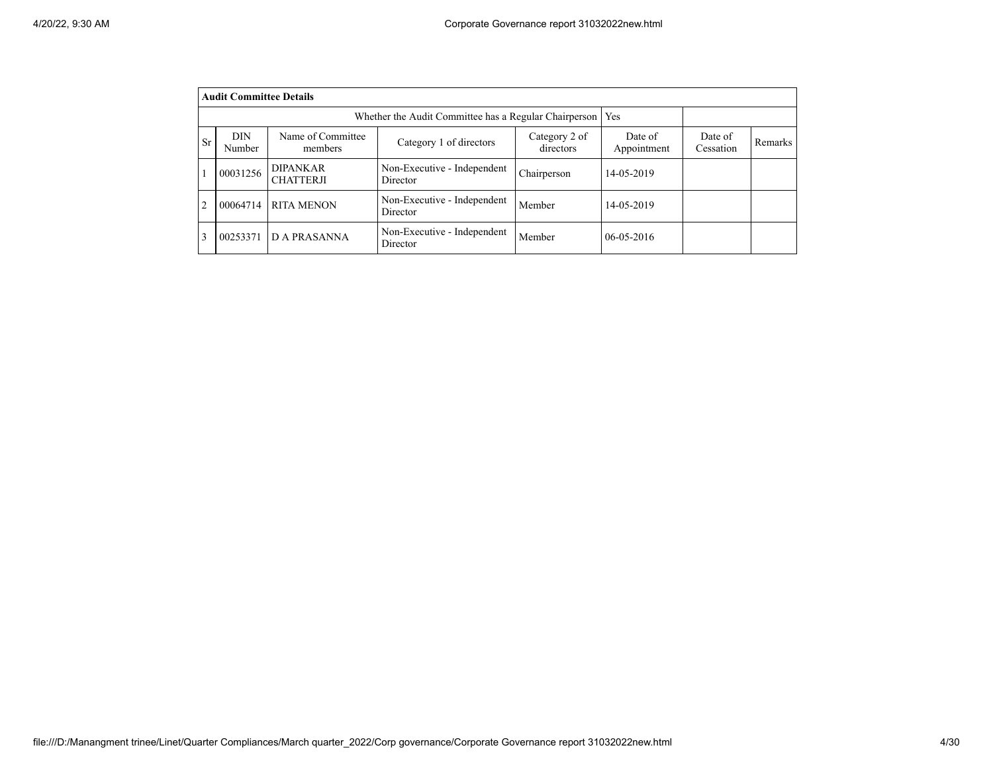|                | <b>Audit Committee Details</b> |                                                       |                                         |                      |                  |  |  |
|----------------|--------------------------------|-------------------------------------------------------|-----------------------------------------|----------------------|------------------|--|--|
|                |                                | Whether the Audit Committee has a Regular Chairperson | Yes                                     |                      |                  |  |  |
| <b>Sr</b>      | <b>DIN</b><br>Number           | Name of Committee<br>members                          | Date of<br>Appointment                  | Date of<br>Cessation | Remarks          |  |  |
|                | 00031256                       | <b>DIPANKAR</b><br><b>CHATTERJI</b>                   | Non-Executive - Independent<br>Director | Chairperson          | 14-05-2019       |  |  |
| $\overline{2}$ | 00064714                       | <b>RITA MENON</b>                                     | Member                                  | 14-05-2019           |                  |  |  |
| 3              | 00253371                       | <b>DA PRASANNA</b>                                    | Non-Executive - Independent<br>Director | Member               | $06 - 05 - 2016$ |  |  |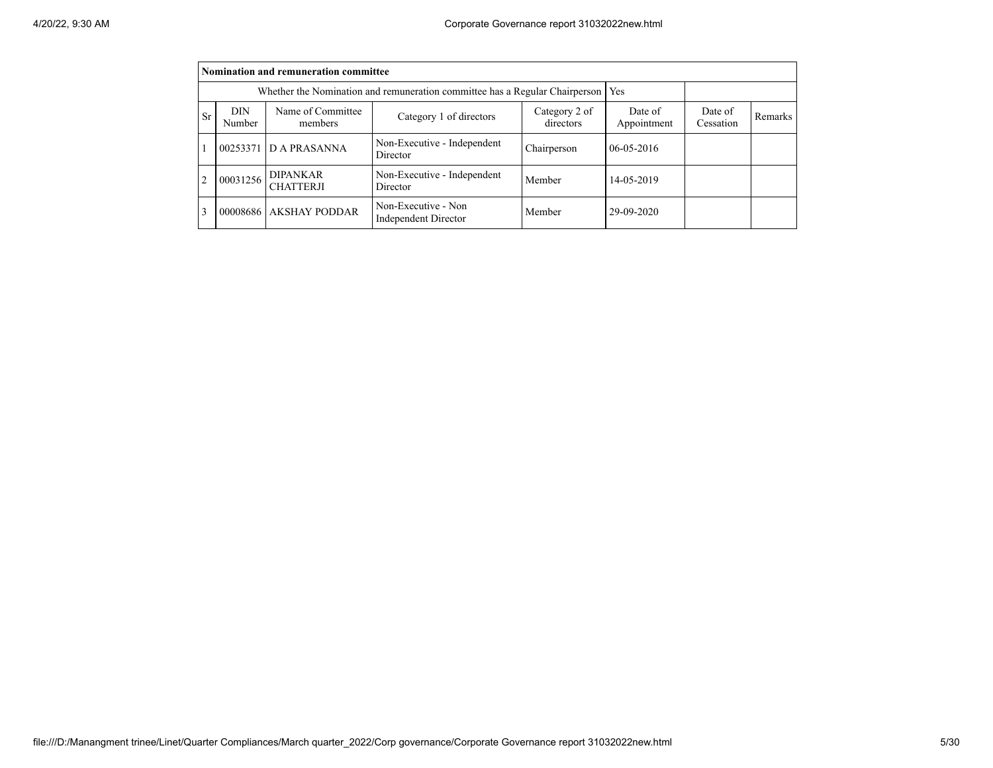|                | Nomination and remuneration committee                                       |                                     |                                                    |             |              |  |  |  |  |  |  |  |
|----------------|-----------------------------------------------------------------------------|-------------------------------------|----------------------------------------------------|-------------|--------------|--|--|--|--|--|--|--|
|                | Whether the Nomination and remuneration committee has a Regular Chairperson |                                     |                                                    |             |              |  |  |  |  |  |  |  |
| <b>Sr</b>      | DIN<br>Number                                                               | Date of<br>Cessation                | Remarks                                            |             |              |  |  |  |  |  |  |  |
|                |                                                                             | 00253371 D A PRASANNA               | Non-Executive - Independent<br>Director            | Chairperson | $06-05-2016$ |  |  |  |  |  |  |  |
| $\overline{c}$ | 00031256                                                                    | <b>DIPANKAR</b><br><b>CHATTERJI</b> | Non-Executive - Independent<br>Director            | Member      | 14-05-2019   |  |  |  |  |  |  |  |
| 3              |                                                                             | 00008686 AKSHAY PODDAR              | Non-Executive - Non<br><b>Independent Director</b> | Member      | 29-09-2020   |  |  |  |  |  |  |  |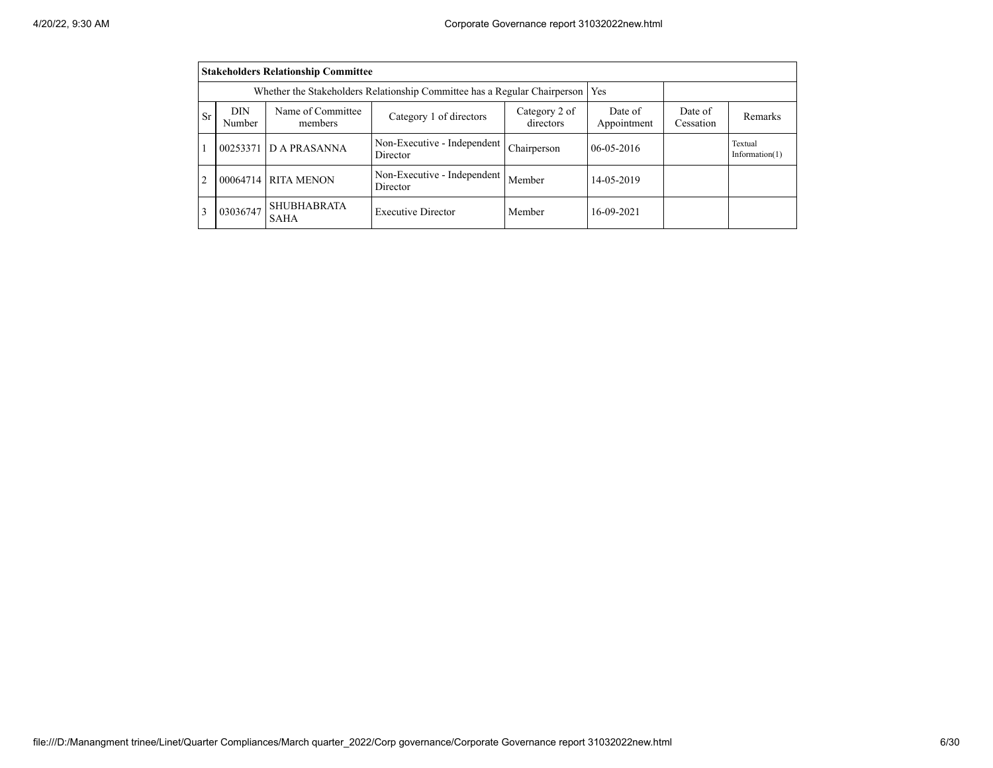|                | <b>Stakeholders Relationship Committee</b>                                                                                                                          |                                                                           |                                         |             |              |  |                              |  |  |  |  |  |
|----------------|---------------------------------------------------------------------------------------------------------------------------------------------------------------------|---------------------------------------------------------------------------|-----------------------------------------|-------------|--------------|--|------------------------------|--|--|--|--|--|
|                |                                                                                                                                                                     | Whether the Stakeholders Relationship Committee has a Regular Chairperson | Yes                                     |             |              |  |                              |  |  |  |  |  |
| Sr             | Name of Committee<br>DIN<br>Category 2 of<br>Date of<br>Date of<br>Category 1 of directors<br>Remarks<br>directors<br>Appointment<br>Cessation<br>Number<br>members |                                                                           |                                         |             |              |  |                              |  |  |  |  |  |
|                | 00253371                                                                                                                                                            | D A PRASANNA                                                              | Non-Executive - Independent<br>Director | Chairperson | $06-05-2016$ |  | Textual<br>Information $(1)$ |  |  |  |  |  |
| $\overline{c}$ |                                                                                                                                                                     | 00064714 RITA MENON                                                       | Non-Executive - Independent<br>Member   | 14-05-2019  |              |  |                              |  |  |  |  |  |
| 3              | 03036747                                                                                                                                                            | <b>SHUBHABRATA</b><br>SAHA                                                | <b>Executive Director</b>               | Member      | 16-09-2021   |  |                              |  |  |  |  |  |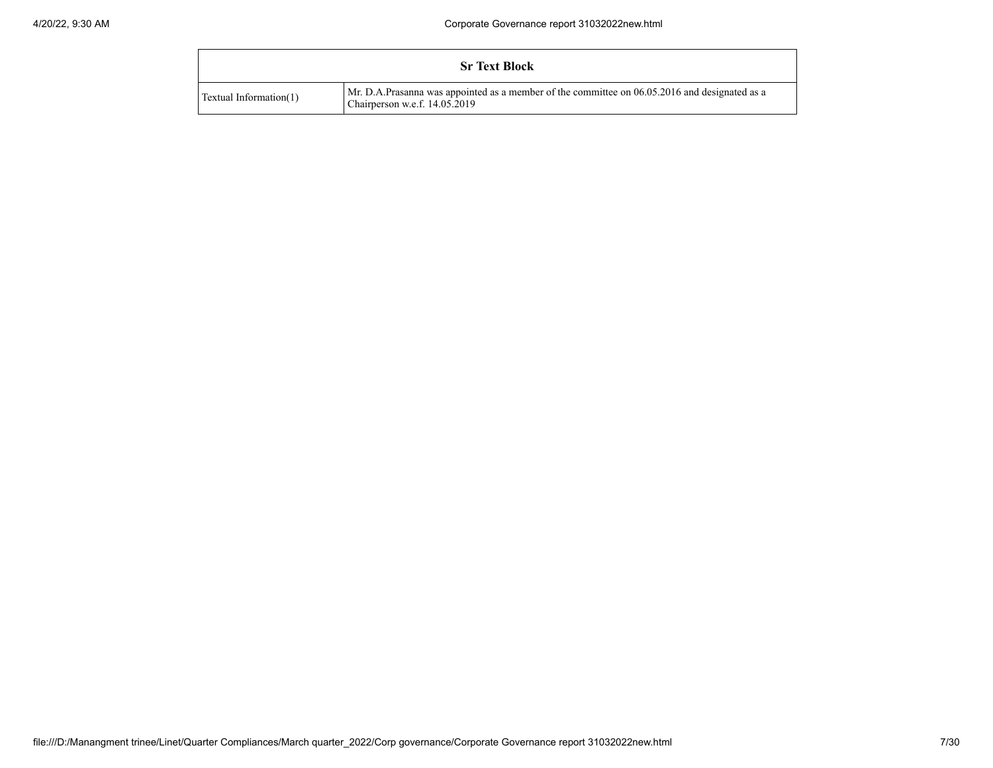|                        | <b>Sr Text Block</b>                                                                                                           |
|------------------------|--------------------------------------------------------------------------------------------------------------------------------|
| Textual Information(1) | Mr. D.A.Prasanna was appointed as a member of the committee on 06.05.2016 and designated as a<br>Chairperson w.e.f. 14.05.2019 |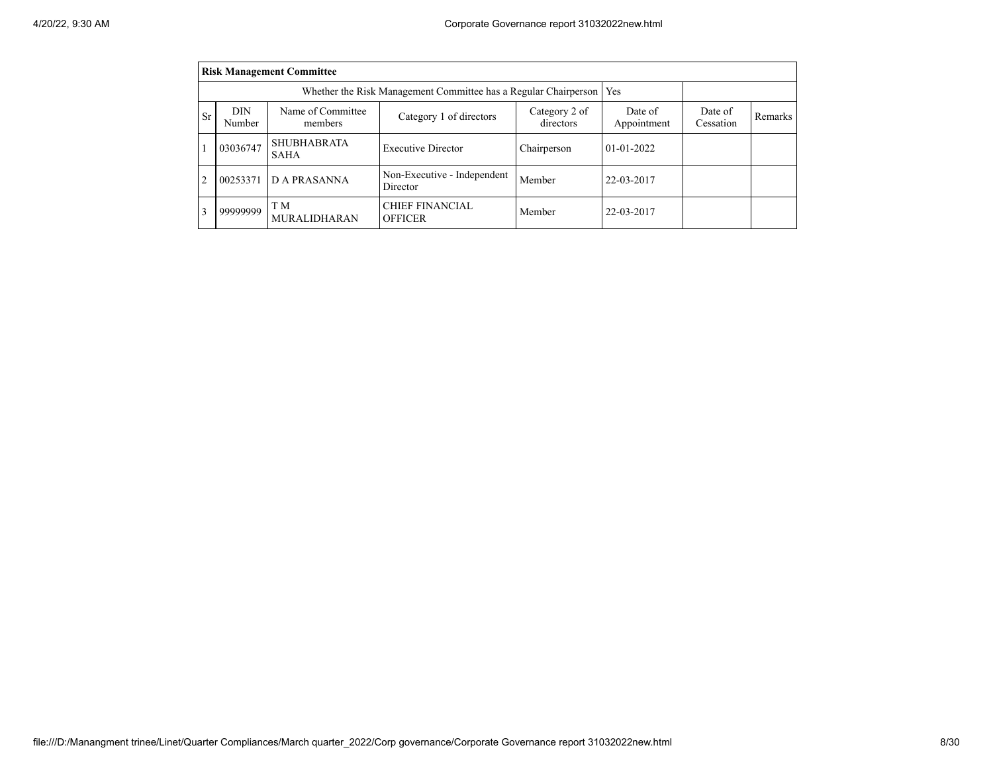|                | <b>Risk Management Committee</b> |                                   |                                                                 |                      |              |  |  |  |  |  |  |  |
|----------------|----------------------------------|-----------------------------------|-----------------------------------------------------------------|----------------------|--------------|--|--|--|--|--|--|--|
|                |                                  |                                   | Whether the Risk Management Committee has a Regular Chairperson | <b>Yes</b>           |              |  |  |  |  |  |  |  |
| <b>Sr</b>      | <b>DIN</b><br>Number             | Name of Committee<br>members      | Date of<br>Appointment                                          | Date of<br>Cessation | Remarks      |  |  |  |  |  |  |  |
|                | 03036747                         | <b>SHUBHABRATA</b><br><b>SAHA</b> | <b>Executive Director</b>                                       | Chairperson          | $01-01-2022$ |  |  |  |  |  |  |  |
| $\overline{2}$ | 00253371                         | D A PRASANNA                      | Non-Executive - Independent<br>Director                         | Member               | 22-03-2017   |  |  |  |  |  |  |  |
| 3              | 99999999                         | T M<br><b>MURALIDHARAN</b>        | <b>CHIEF FINANCIAL</b><br><b>OFFICER</b>                        | Member               | 22-03-2017   |  |  |  |  |  |  |  |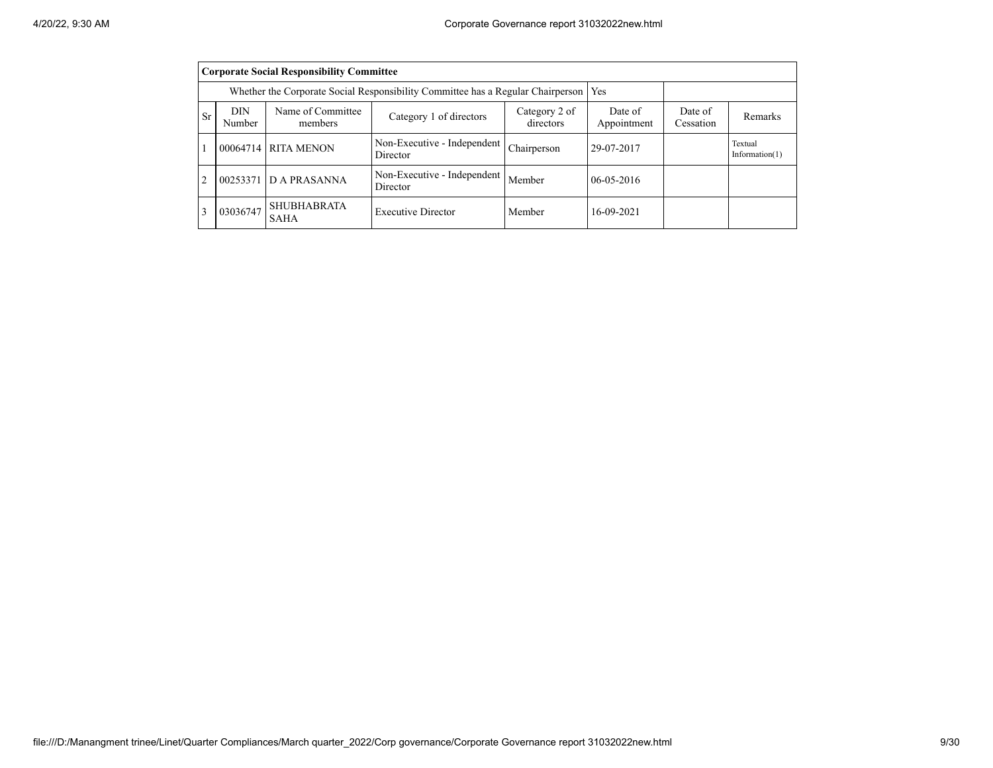|                | <b>Corporate Social Responsibility Committee</b>                                                                                                                    |                                                                                 |                                         |              |            |  |                              |  |  |  |  |  |
|----------------|---------------------------------------------------------------------------------------------------------------------------------------------------------------------|---------------------------------------------------------------------------------|-----------------------------------------|--------------|------------|--|------------------------------|--|--|--|--|--|
|                |                                                                                                                                                                     | Whether the Corporate Social Responsibility Committee has a Regular Chairperson | Yes                                     |              |            |  |                              |  |  |  |  |  |
| <b>Sr</b>      | Name of Committee<br>DIN<br>Category 2 of<br>Date of<br>Date of<br>Category 1 of directors<br>Remarks<br>directors<br>Appointment<br>Cessation<br>Number<br>members |                                                                                 |                                         |              |            |  |                              |  |  |  |  |  |
|                |                                                                                                                                                                     | 00064714 RITA MENON                                                             | Non-Executive - Independent<br>Director | Chairperson  | 29-07-2017 |  | Textual<br>Information $(1)$ |  |  |  |  |  |
| $\overline{2}$ | 00253371                                                                                                                                                            | <b>DA PRASANNA</b>                                                              | Non-Executive - Independent<br>Member   | $06-05-2016$ |            |  |                              |  |  |  |  |  |
| 3              | 03036747                                                                                                                                                            | <b>SHUBHABRATA</b><br>SAHA                                                      | Member                                  | 16-09-2021   |            |  |                              |  |  |  |  |  |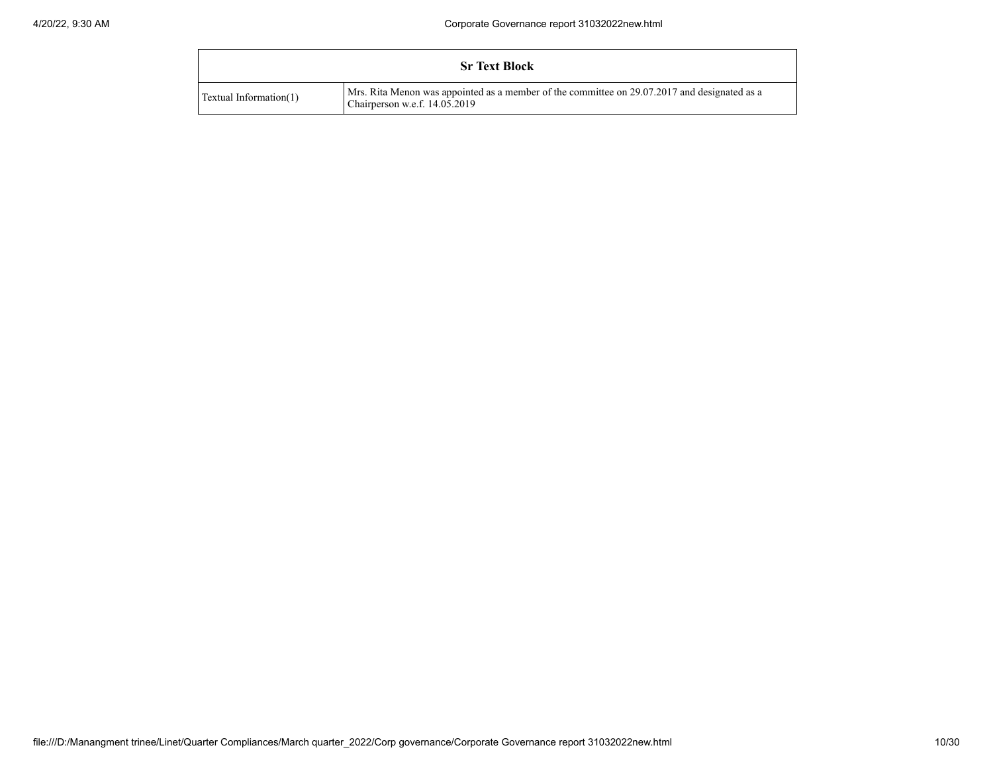|                        | <b>Sr Text Block</b>                                                                                                          |
|------------------------|-------------------------------------------------------------------------------------------------------------------------------|
| Textual Information(1) | Mrs. Rita Menon was appointed as a member of the committee on 29.07.2017 and designated as a<br>Chairperson w.e.f. 14.05.2019 |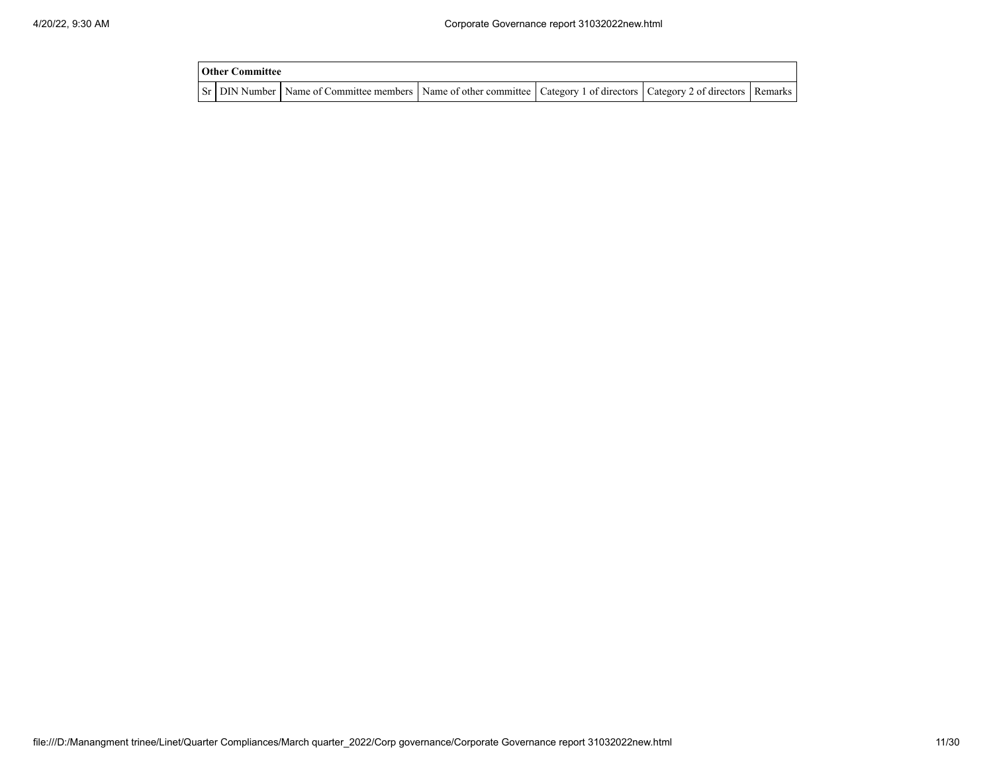| <b>Other Committee</b> |                                                                                                                                     |  |  |
|------------------------|-------------------------------------------------------------------------------------------------------------------------------------|--|--|
|                        | Sr   DIN Number   Name of Committee members   Name of other committee   Category 1 of directors   Category 2 of directors   Remarks |  |  |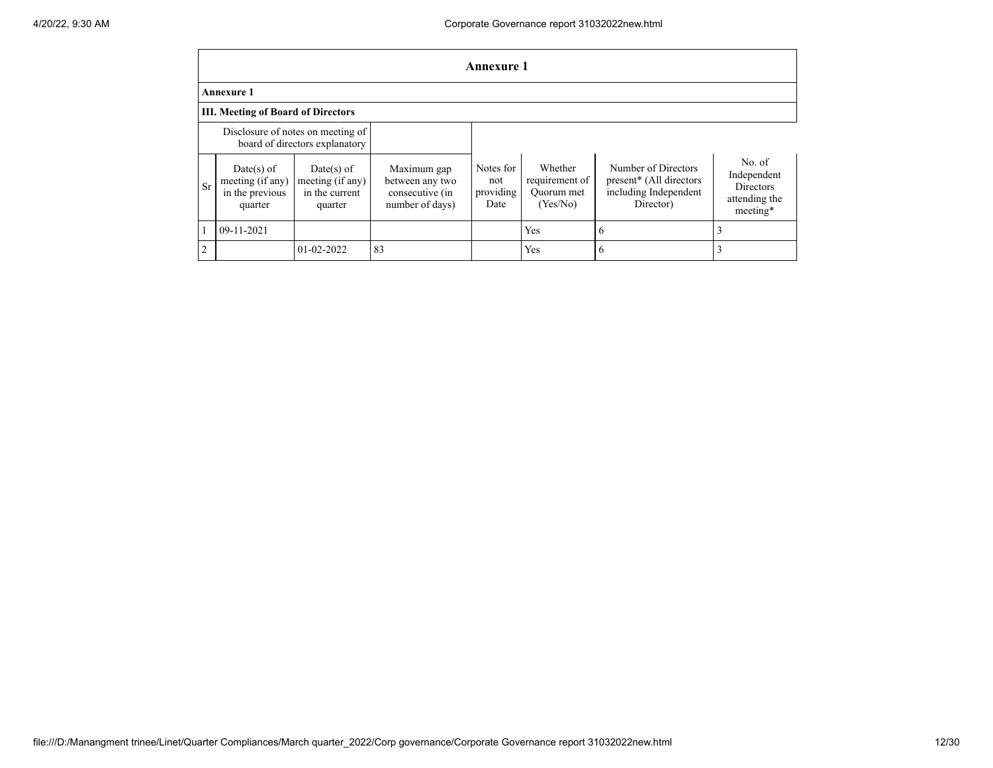|                |                                                                     |                                                               |                                                                      | <b>Annexure 1</b>                     |                                                     |                                                                                                  |                                                                        |  |  |  |  |  |
|----------------|---------------------------------------------------------------------|---------------------------------------------------------------|----------------------------------------------------------------------|---------------------------------------|-----------------------------------------------------|--------------------------------------------------------------------------------------------------|------------------------------------------------------------------------|--|--|--|--|--|
|                | <b>Annexure 1</b>                                                   |                                                               |                                                                      |                                       |                                                     |                                                                                                  |                                                                        |  |  |  |  |  |
|                | <b>III. Meeting of Board of Directors</b>                           |                                                               |                                                                      |                                       |                                                     |                                                                                                  |                                                                        |  |  |  |  |  |
|                | Disclosure of notes on meeting of<br>board of directors explanatory |                                                               |                                                                      |                                       |                                                     |                                                                                                  |                                                                        |  |  |  |  |  |
| <b>Sr</b>      | Date(s) of<br>meeting (if any)<br>in the previous<br>quarter        | $Date(s)$ of<br>meeting (if any)<br>in the current<br>quarter | Maximum gap<br>between any two<br>consecutive (in<br>number of days) | Notes for<br>not<br>providing<br>Date | Whether<br>requirement of<br>Ouorum met<br>(Yes/No) | Number of Directors<br>present <sup>*</sup> (All directors<br>including Independent<br>Director) | No. of<br>Independent<br><b>Directors</b><br>attending the<br>meeting* |  |  |  |  |  |
|                | 09-11-2021                                                          |                                                               |                                                                      |                                       | Yes                                                 | h                                                                                                | 3                                                                      |  |  |  |  |  |
| $\overline{2}$ |                                                                     | $01-02-2022$                                                  | 83                                                                   |                                       | Yes                                                 | <sub>(</sub>                                                                                     |                                                                        |  |  |  |  |  |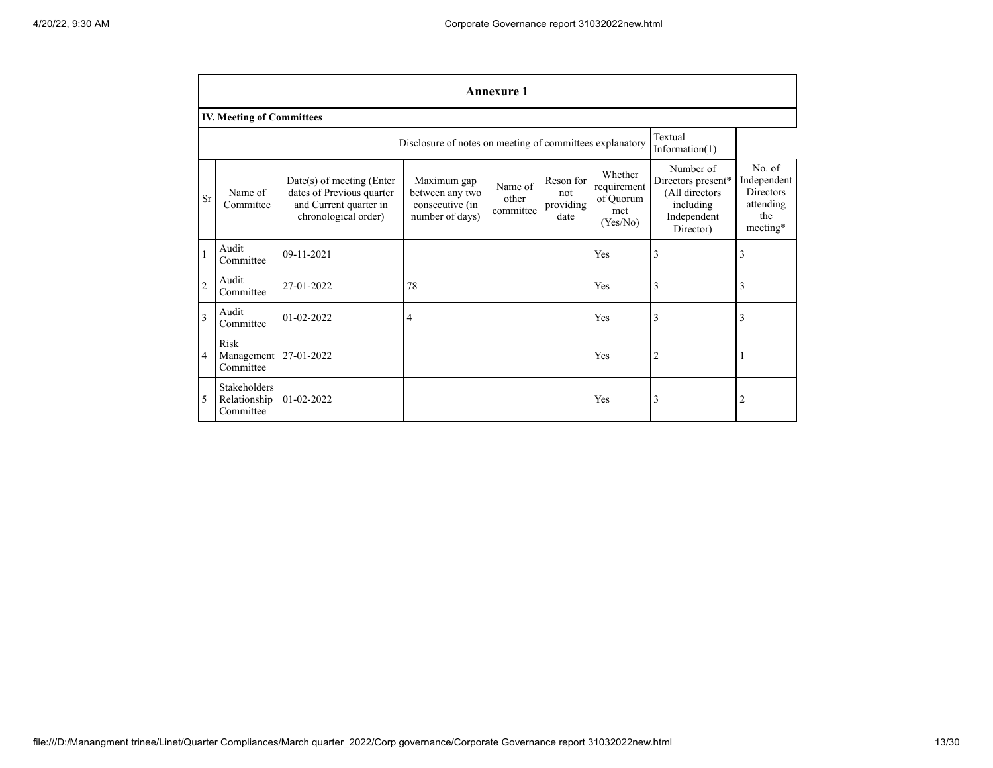|                | <b>Annexure 1</b>                                                                                                                                                                                                                                                                                                                              |            |                                                          |  |  |                                                                                            |                                                                           |   |  |  |
|----------------|------------------------------------------------------------------------------------------------------------------------------------------------------------------------------------------------------------------------------------------------------------------------------------------------------------------------------------------------|------------|----------------------------------------------------------|--|--|--------------------------------------------------------------------------------------------|---------------------------------------------------------------------------|---|--|--|
|                | <b>IV. Meeting of Committees</b>                                                                                                                                                                                                                                                                                                               |            |                                                          |  |  |                                                                                            |                                                                           |   |  |  |
|                |                                                                                                                                                                                                                                                                                                                                                |            | Disclosure of notes on meeting of committees explanatory |  |  |                                                                                            | Textual<br>Information $(1)$                                              |   |  |  |
| <b>Sr</b>      | Whether<br>Reson for<br>$Date(s)$ of meeting (Enter<br>Maximum gap<br>Name of<br>requirement<br>dates of Previous quarter<br>Name of<br>between any two<br>not<br>of Ouorum<br>other<br>providing<br>and Current quarter in<br>Committee<br>consecutive (in<br>committee<br>met<br>chronological order)<br>number of days)<br>date<br>(Yes/No) |            |                                                          |  |  | Number of<br>Directors present*<br>(All directors<br>including<br>Independent<br>Director) | No. of<br>Independent<br><b>Directors</b><br>attending<br>the<br>meeting* |   |  |  |
| $\mathbf{1}$   | Audit<br>Committee                                                                                                                                                                                                                                                                                                                             | 09-11-2021 |                                                          |  |  | Yes                                                                                        | 3                                                                         | 3 |  |  |
| $\overline{2}$ | Audit<br>Committee                                                                                                                                                                                                                                                                                                                             | 27-01-2022 | 78                                                       |  |  | Yes                                                                                        | 3                                                                         | 3 |  |  |
| 3              | Audit<br>Committee                                                                                                                                                                                                                                                                                                                             | 01-02-2022 | 4                                                        |  |  | Yes                                                                                        | $\overline{3}$                                                            | 3 |  |  |
| 4              | Risk<br>Management<br>Committee                                                                                                                                                                                                                                                                                                                | 27-01-2022 |                                                          |  |  | Yes                                                                                        | $\overline{2}$                                                            |   |  |  |
| 5              | <b>Stakeholders</b><br>Relationship<br>Committee                                                                                                                                                                                                                                                                                               | 01-02-2022 |                                                          |  |  | Yes                                                                                        | 3                                                                         | 2 |  |  |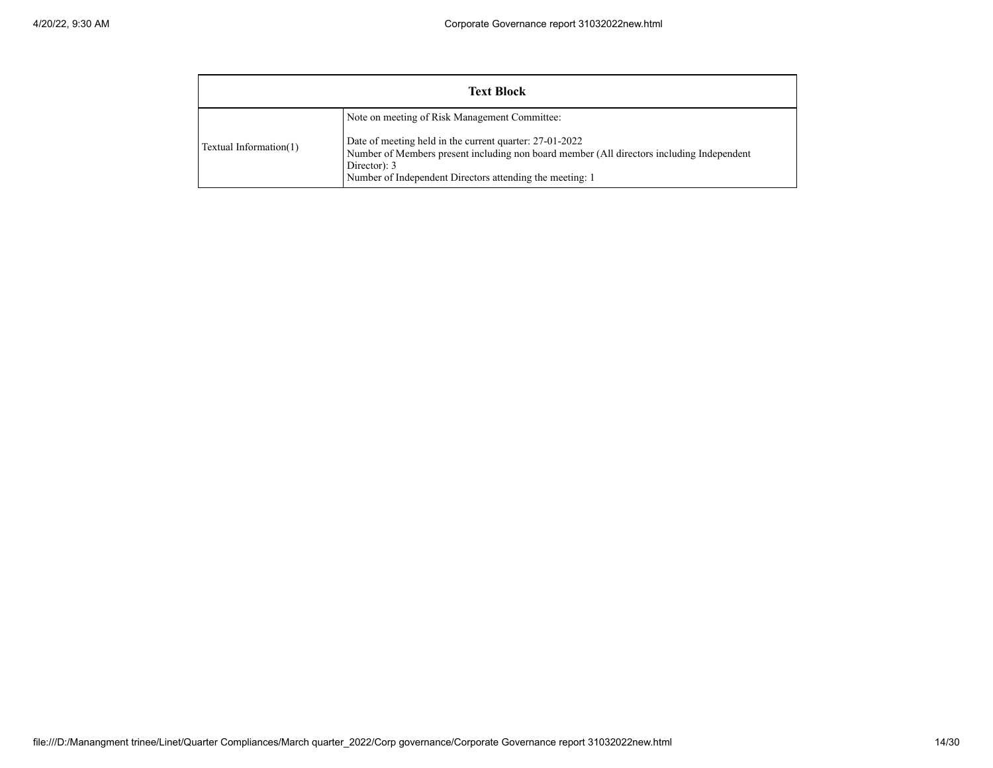|                        | <b>Text Block</b>                                                                                                                                                                                                                                                                 |
|------------------------|-----------------------------------------------------------------------------------------------------------------------------------------------------------------------------------------------------------------------------------------------------------------------------------|
| Textual Information(1) | Note on meeting of Risk Management Committee:<br>Date of meeting held in the current quarter: 27-01-2022<br>Number of Members present including non board member (All directors including Independent<br>Director): 3<br>Number of Independent Directors attending the meeting: 1 |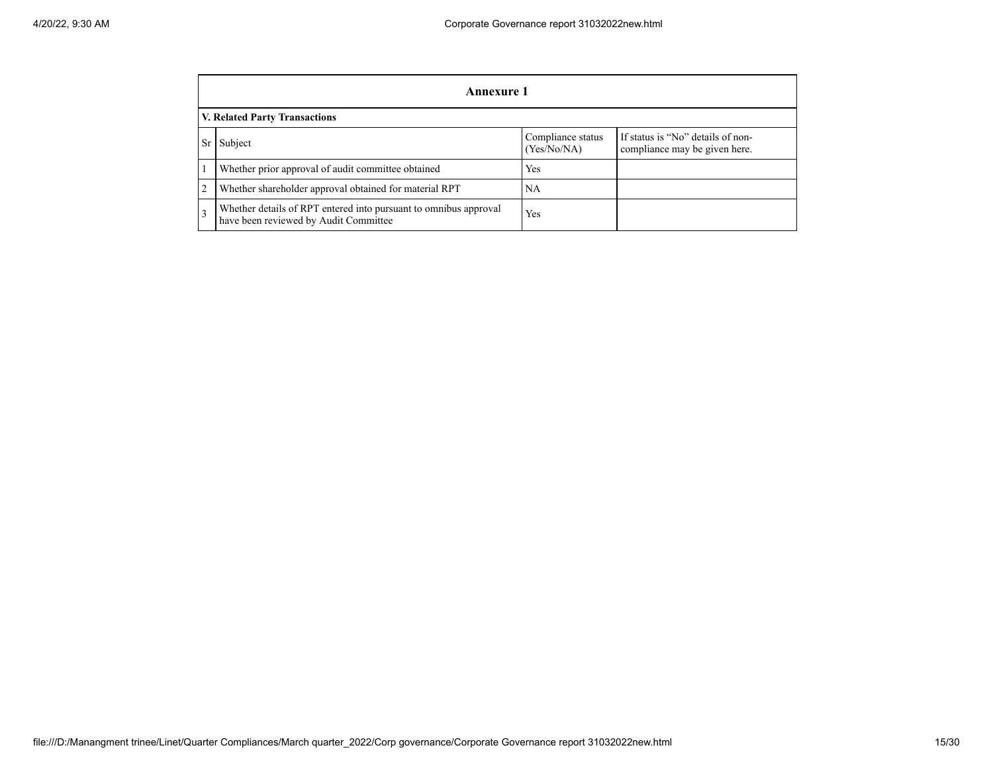|                | Annexure 1                                                                                                        |     |  |  |  |  |  |
|----------------|-------------------------------------------------------------------------------------------------------------------|-----|--|--|--|--|--|
|                | V. Related Party Transactions                                                                                     |     |  |  |  |  |  |
| <b>Sr</b>      | If status is "No" details of non-<br>Compliance status<br>Subject<br>(Yes/No/NA)<br>compliance may be given here. |     |  |  |  |  |  |
|                | Whether prior approval of audit committee obtained                                                                | Yes |  |  |  |  |  |
| $\overline{2}$ | Whether shareholder approval obtained for material RPT                                                            | NA  |  |  |  |  |  |
| 3              | Whether details of RPT entered into pursuant to omnibus approval<br>have been reviewed by Audit Committee         | Yes |  |  |  |  |  |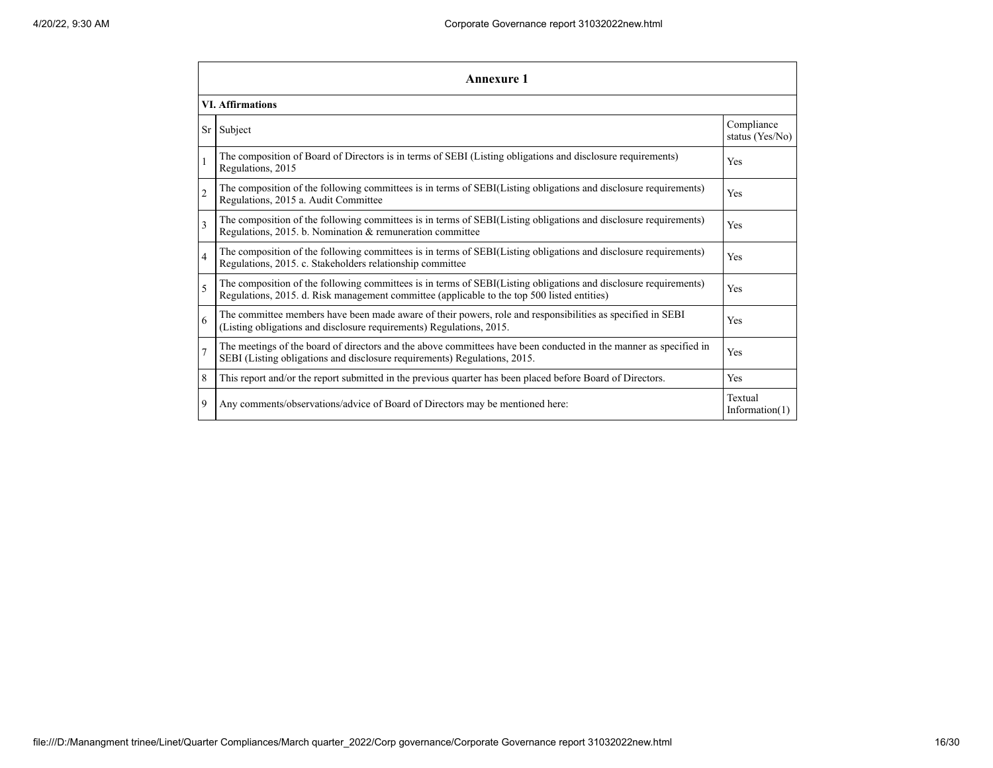|                | <b>Annexure 1</b>                                                                                                                                                                                               |                               |  |  |  |  |  |
|----------------|-----------------------------------------------------------------------------------------------------------------------------------------------------------------------------------------------------------------|-------------------------------|--|--|--|--|--|
|                | <b>VI.</b> Affirmations                                                                                                                                                                                         |                               |  |  |  |  |  |
| Sr             | Subject                                                                                                                                                                                                         | Compliance<br>status (Yes/No) |  |  |  |  |  |
|                | The composition of Board of Directors is in terms of SEBI (Listing obligations and disclosure requirements)<br>Regulations, 2015                                                                                | Yes                           |  |  |  |  |  |
| $\overline{2}$ | The composition of the following committees is in terms of SEBI(Listing obligations and disclosure requirements)<br>Regulations, 2015 a. Audit Committee                                                        | Yes                           |  |  |  |  |  |
| $\mathbf{3}$   | The composition of the following committees is in terms of SEBI(Listing obligations and disclosure requirements)<br>Regulations, 2015. b. Nomination & remuneration committee                                   | Yes                           |  |  |  |  |  |
| 4              | The composition of the following committees is in terms of SEBI(Listing obligations and disclosure requirements)<br>Regulations, 2015. c. Stakeholders relationship committee                                   | Yes                           |  |  |  |  |  |
| 5              | The composition of the following committees is in terms of SEBI(Listing obligations and disclosure requirements)<br>Regulations, 2015. d. Risk management committee (applicable to the top 500 listed entities) | Yes                           |  |  |  |  |  |
| 6              | The committee members have been made aware of their powers, role and responsibilities as specified in SEBI<br>(Listing obligations and disclosure requirements) Regulations, 2015.                              | Yes                           |  |  |  |  |  |
| $\overline{7}$ | The meetings of the board of directors and the above committees have been conducted in the manner as specified in<br>SEBI (Listing obligations and disclosure requirements) Regulations, 2015.                  | Yes                           |  |  |  |  |  |
| 8              | This report and/or the report submitted in the previous quarter has been placed before Board of Directors.                                                                                                      | Yes                           |  |  |  |  |  |
| 9              | Any comments/observations/advice of Board of Directors may be mentioned here:                                                                                                                                   | Textual<br>Information $(1)$  |  |  |  |  |  |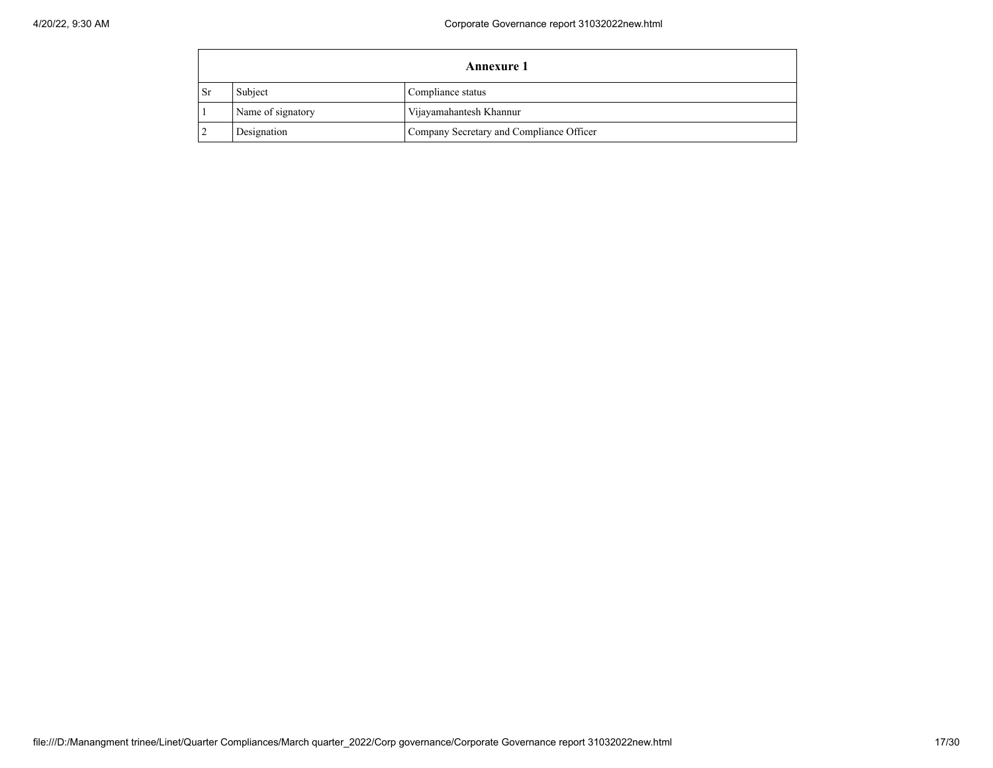|           | <b>Annexure 1</b>                            |                                          |  |  |  |  |  |
|-----------|----------------------------------------------|------------------------------------------|--|--|--|--|--|
| <b>Sr</b> | Subject<br>Compliance status                 |                                          |  |  |  |  |  |
|           | Name of signatory<br>Vijayamahantesh Khannur |                                          |  |  |  |  |  |
|           | Designation                                  | Company Secretary and Compliance Officer |  |  |  |  |  |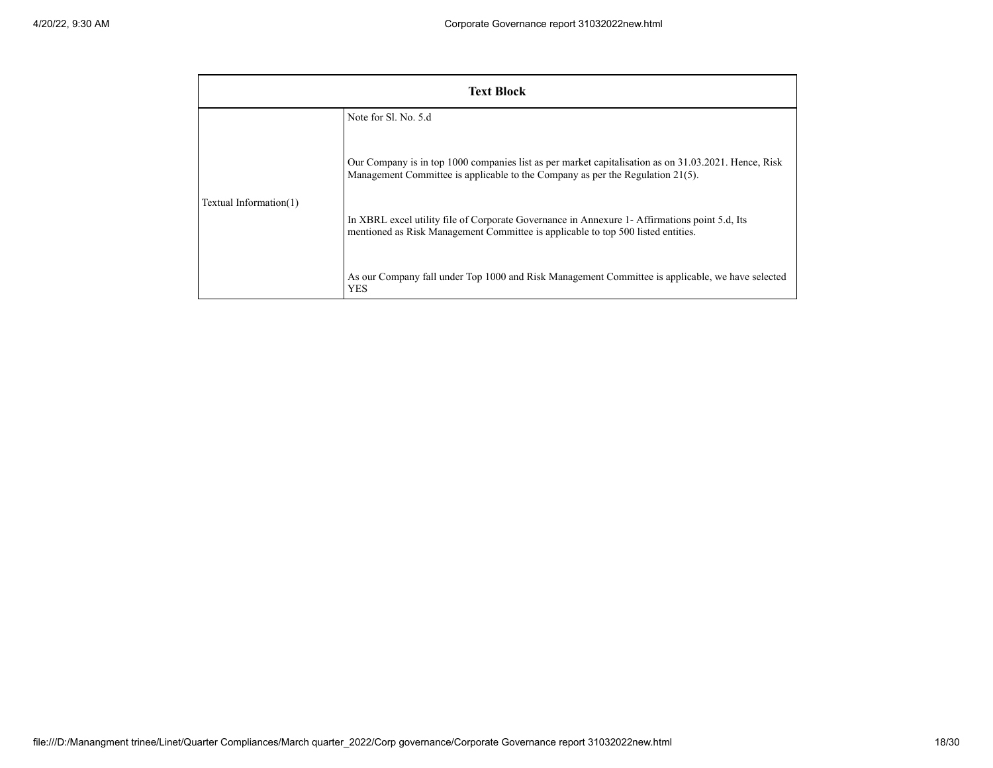| <b>Text Block</b>      |                                                                                                                                                                                           |  |  |  |  |  |  |  |
|------------------------|-------------------------------------------------------------------------------------------------------------------------------------------------------------------------------------------|--|--|--|--|--|--|--|
|                        | Note for Sl. No. 5.d                                                                                                                                                                      |  |  |  |  |  |  |  |
| Textual Information(1) | Our Company is in top 1000 companies list as per market capitalisation as on 31.03.2021. Hence, Risk<br>Management Committee is applicable to the Company as per the Regulation $21(5)$ . |  |  |  |  |  |  |  |
|                        | In XBRL excel utility file of Corporate Governance in Annexure 1- Affirmations point 5.d, Its<br>mentioned as Risk Management Committee is applicable to top 500 listed entities.         |  |  |  |  |  |  |  |
|                        | As our Company fall under Top 1000 and Risk Management Committee is applicable, we have selected<br><b>YES</b>                                                                            |  |  |  |  |  |  |  |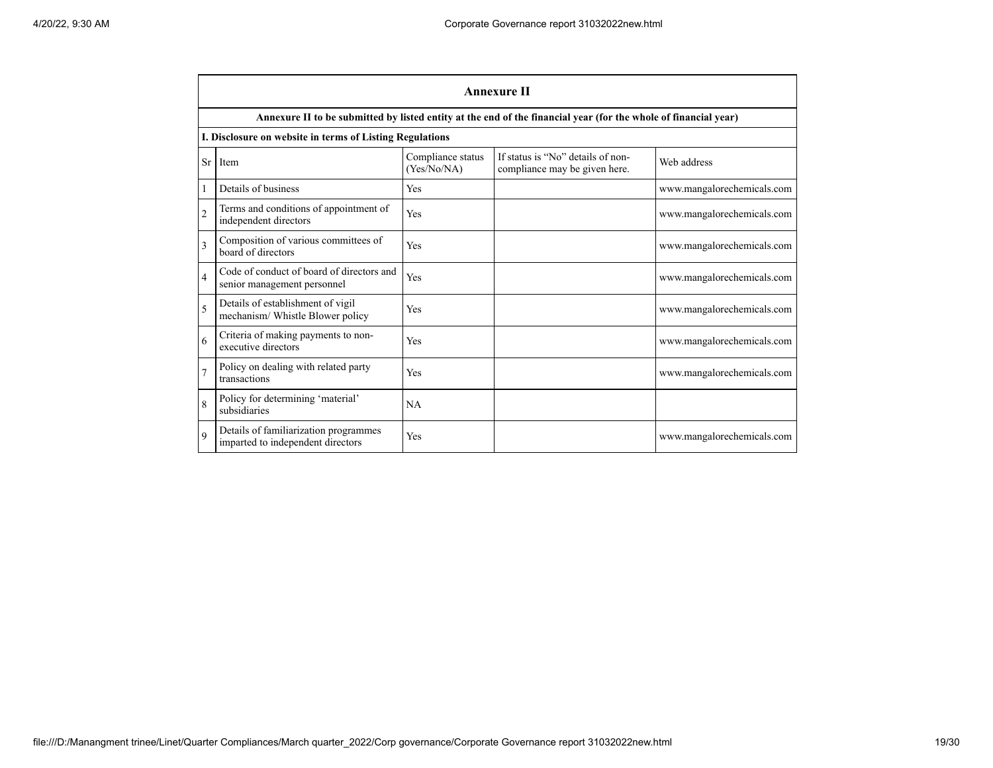|                | <b>Annexure II</b>                                                         |                                  |                                                                                                                 |                            |  |  |  |  |  |
|----------------|----------------------------------------------------------------------------|----------------------------------|-----------------------------------------------------------------------------------------------------------------|----------------------------|--|--|--|--|--|
|                |                                                                            |                                  | Annexure II to be submitted by listed entity at the end of the financial year (for the whole of financial year) |                            |  |  |  |  |  |
|                | I. Disclosure on website in terms of Listing Regulations                   |                                  |                                                                                                                 |                            |  |  |  |  |  |
| Sr             | Item                                                                       | Compliance status<br>(Yes/No/NA) | If status is "No" details of non-<br>compliance may be given here.                                              | Web address                |  |  |  |  |  |
| 1              | Details of business                                                        | Yes                              |                                                                                                                 | www.mangalorechemicals.com |  |  |  |  |  |
| $\overline{c}$ | Terms and conditions of appointment of<br>independent directors            | Yes                              |                                                                                                                 | www.mangalorechemicals.com |  |  |  |  |  |
| 3              | Composition of various committees of<br>board of directors                 | Yes                              |                                                                                                                 | www.mangalorechemicals.com |  |  |  |  |  |
| $\overline{4}$ | Code of conduct of board of directors and<br>senior management personnel   | Yes                              |                                                                                                                 | www.mangalorechemicals.com |  |  |  |  |  |
| $\overline{5}$ | Details of establishment of vigil<br>mechanism/ Whistle Blower policy      | Yes                              |                                                                                                                 | www.mangalorechemicals.com |  |  |  |  |  |
| 6              | Criteria of making payments to non-<br>executive directors                 | Yes                              |                                                                                                                 | www.mangalorechemicals.com |  |  |  |  |  |
|                | Policy on dealing with related party<br>transactions                       | Yes                              |                                                                                                                 | www.mangalorechemicals.com |  |  |  |  |  |
| 8              | Policy for determining 'material'<br>subsidiaries                          | NA                               |                                                                                                                 |                            |  |  |  |  |  |
| $\mathbf Q$    | Details of familiarization programmes<br>imparted to independent directors | Yes                              |                                                                                                                 | www.mangalorechemicals.com |  |  |  |  |  |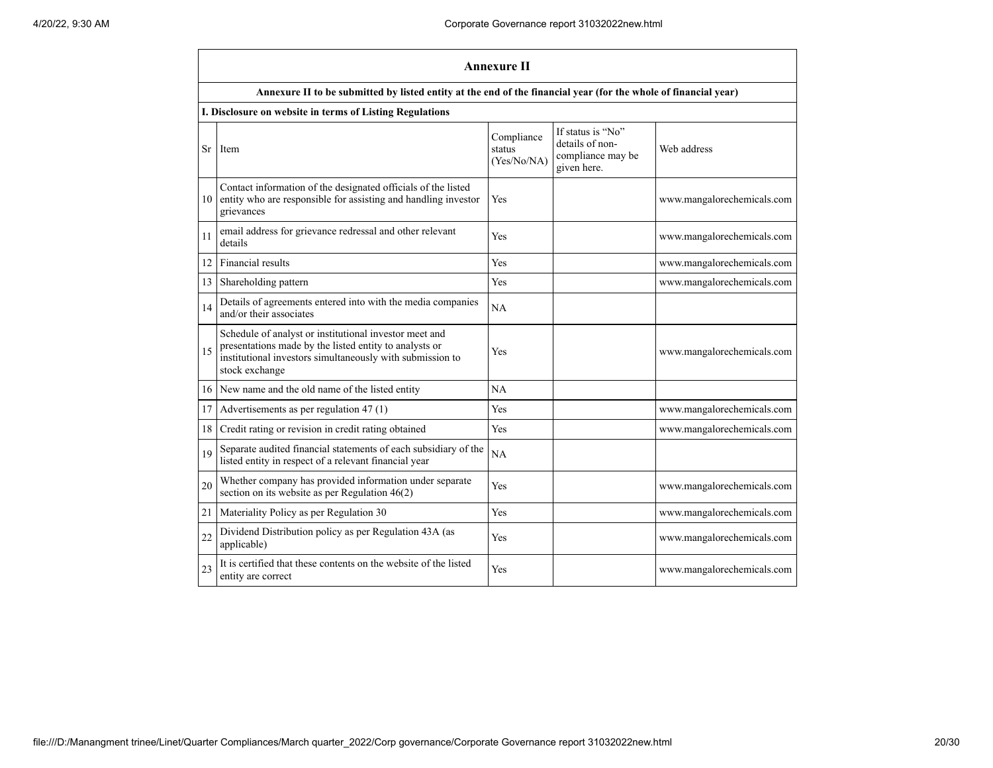|    | <b>Annexure II</b>                                                                                                                                                                              |                                     |                                                                          |                            |  |  |  |  |
|----|-------------------------------------------------------------------------------------------------------------------------------------------------------------------------------------------------|-------------------------------------|--------------------------------------------------------------------------|----------------------------|--|--|--|--|
|    | Annexure II to be submitted by listed entity at the end of the financial year (for the whole of financial year)                                                                                 |                                     |                                                                          |                            |  |  |  |  |
|    | I. Disclosure on website in terms of Listing Regulations                                                                                                                                        |                                     |                                                                          |                            |  |  |  |  |
| Sr | Item                                                                                                                                                                                            | Compliance<br>status<br>(Yes/No/NA) | If status is "No"<br>details of non-<br>compliance may be<br>given here. | Web address                |  |  |  |  |
| 10 | Contact information of the designated officials of the listed<br>entity who are responsible for assisting and handling investor<br>grievances                                                   | Yes                                 |                                                                          | www.mangalorechemicals.com |  |  |  |  |
| 11 | email address for grievance redressal and other relevant<br>details                                                                                                                             | Yes                                 |                                                                          | www.mangalorechemicals.com |  |  |  |  |
| 12 | Financial results                                                                                                                                                                               | Yes                                 |                                                                          | www.mangalorechemicals.com |  |  |  |  |
| 13 | Shareholding pattern                                                                                                                                                                            | <b>Yes</b>                          |                                                                          | www.mangalorechemicals.com |  |  |  |  |
| 14 | Details of agreements entered into with the media companies<br>and/or their associates                                                                                                          | NA                                  |                                                                          |                            |  |  |  |  |
| 15 | Schedule of analyst or institutional investor meet and<br>presentations made by the listed entity to analysts or<br>institutional investors simultaneously with submission to<br>stock exchange | Yes                                 |                                                                          | www.mangalorechemicals.com |  |  |  |  |
| 16 | New name and the old name of the listed entity                                                                                                                                                  | NA                                  |                                                                          |                            |  |  |  |  |
| 17 | Advertisements as per regulation 47 (1)                                                                                                                                                         | Yes                                 |                                                                          | www.mangalorechemicals.com |  |  |  |  |
| 18 | Credit rating or revision in credit rating obtained                                                                                                                                             | Yes                                 |                                                                          | www.mangalorechemicals.com |  |  |  |  |
| 19 | Separate audited financial statements of each subsidiary of the<br>listed entity in respect of a relevant financial year                                                                        | NA                                  |                                                                          |                            |  |  |  |  |
| 20 | Whether company has provided information under separate<br>section on its website as per Regulation $46(2)$                                                                                     | Yes                                 |                                                                          | www.mangalorechemicals.com |  |  |  |  |
| 21 | Materiality Policy as per Regulation 30                                                                                                                                                         | Yes                                 |                                                                          | www.mangalorechemicals.com |  |  |  |  |
| 22 | Dividend Distribution policy as per Regulation 43A (as<br>applicable)                                                                                                                           | Yes                                 |                                                                          | www.mangalorechemicals.com |  |  |  |  |
| 23 | It is certified that these contents on the website of the listed<br>entity are correct                                                                                                          | Yes                                 |                                                                          | www.mangalorechemicals.com |  |  |  |  |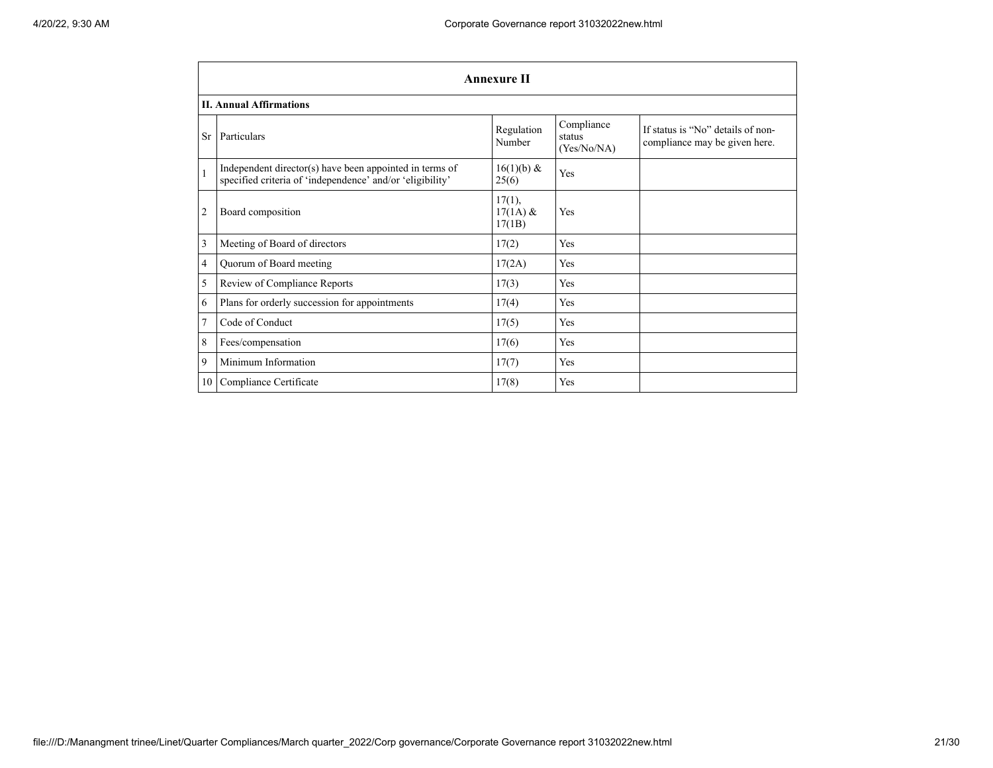|                | <b>Annexure II</b>                                                                                                   |                                   |                                     |                                                                    |  |  |  |  |
|----------------|----------------------------------------------------------------------------------------------------------------------|-----------------------------------|-------------------------------------|--------------------------------------------------------------------|--|--|--|--|
|                | <b>II. Annual Affirmations</b>                                                                                       |                                   |                                     |                                                                    |  |  |  |  |
| <b>Sr</b>      | Particulars                                                                                                          | Regulation<br>Number              | Compliance<br>status<br>(Yes/No/NA) | If status is "No" details of non-<br>compliance may be given here. |  |  |  |  |
| $\mathbf{1}$   | Independent director(s) have been appointed in terms of<br>specified criteria of 'independence' and/or 'eligibility' | $16(1)(b)$ &<br>25(6)             | Yes                                 |                                                                    |  |  |  |  |
| $\overline{2}$ | Board composition                                                                                                    | $17(1)$ ,<br>$17(1A)$ &<br>17(1B) | Yes                                 |                                                                    |  |  |  |  |
| 3              | Meeting of Board of directors                                                                                        | 17(2)                             | Yes                                 |                                                                    |  |  |  |  |
| 4              | Quorum of Board meeting                                                                                              | 17(2A)                            | Yes                                 |                                                                    |  |  |  |  |
| 5              | Review of Compliance Reports                                                                                         | 17(3)                             | Yes                                 |                                                                    |  |  |  |  |
| 6              | Plans for orderly succession for appointments                                                                        | 17(4)                             | Yes                                 |                                                                    |  |  |  |  |
| $\tau$         | Code of Conduct                                                                                                      | 17(5)                             | Yes                                 |                                                                    |  |  |  |  |
| 8              | Fees/compensation                                                                                                    | 17(6)                             | Yes                                 |                                                                    |  |  |  |  |
| 9              | Minimum Information                                                                                                  | 17(7)                             | Yes                                 |                                                                    |  |  |  |  |
| 10             | Compliance Certificate                                                                                               | 17(8)                             | Yes                                 |                                                                    |  |  |  |  |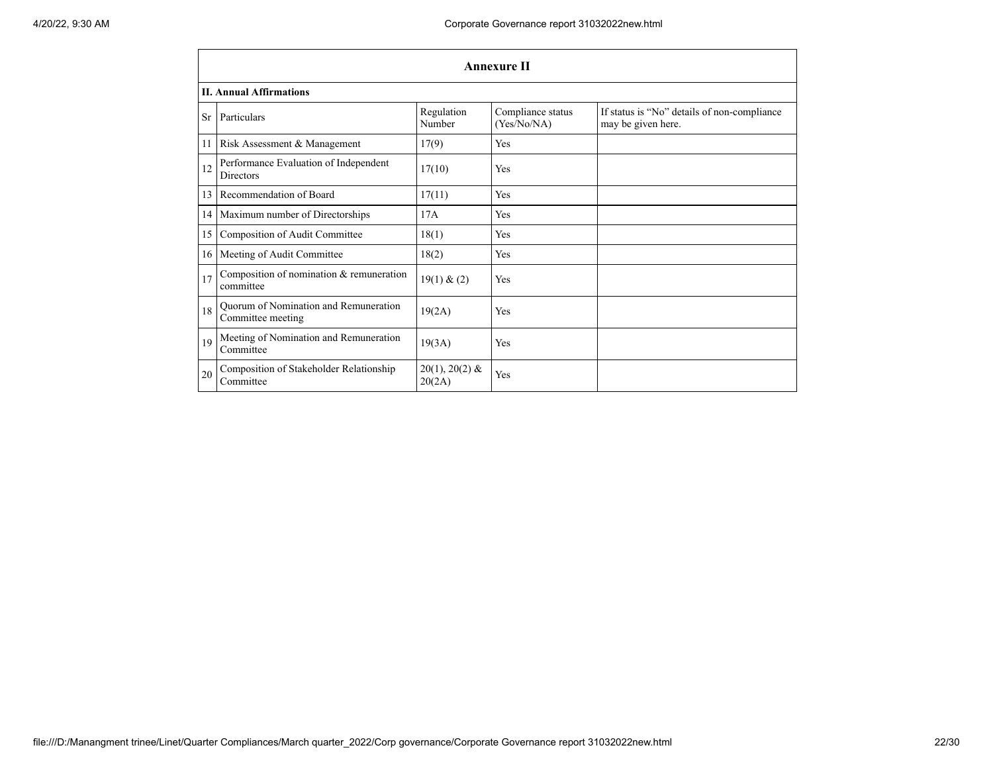|    | <b>Annexure II</b>                                         |                            |                                  |                                                                   |  |  |  |  |  |
|----|------------------------------------------------------------|----------------------------|----------------------------------|-------------------------------------------------------------------|--|--|--|--|--|
|    | <b>II. Annual Affirmations</b>                             |                            |                                  |                                                                   |  |  |  |  |  |
| Sr | Particulars                                                | Regulation<br>Number       | Compliance status<br>(Yes/No/NA) | If status is "No" details of non-compliance<br>may be given here. |  |  |  |  |  |
| 11 | Risk Assessment & Management                               | 17(9)                      | <b>Yes</b>                       |                                                                   |  |  |  |  |  |
| 12 | Performance Evaluation of Independent<br><b>Directors</b>  | 17(10)                     | Yes                              |                                                                   |  |  |  |  |  |
| 13 | Recommendation of Board                                    | 17(11)                     | Yes                              |                                                                   |  |  |  |  |  |
| 14 | Maximum number of Directorships                            | 17A                        | Yes                              |                                                                   |  |  |  |  |  |
| 15 | Composition of Audit Committee                             | 18(1)                      | Yes                              |                                                                   |  |  |  |  |  |
| 16 | Meeting of Audit Committee                                 | 18(2)                      | Yes                              |                                                                   |  |  |  |  |  |
| 17 | Composition of nomination & remuneration<br>committee      | 19(1) & (2)                | Yes                              |                                                                   |  |  |  |  |  |
| 18 | Quorum of Nomination and Remuneration<br>Committee meeting | 19(2A)                     | Yes                              |                                                                   |  |  |  |  |  |
| 19 | Meeting of Nomination and Remuneration<br>Committee        | 19(3A)                     | Yes                              |                                                                   |  |  |  |  |  |
| 20 | Composition of Stakeholder Relationship<br>Committee       | $20(1), 20(2)$ &<br>20(2A) | Yes                              |                                                                   |  |  |  |  |  |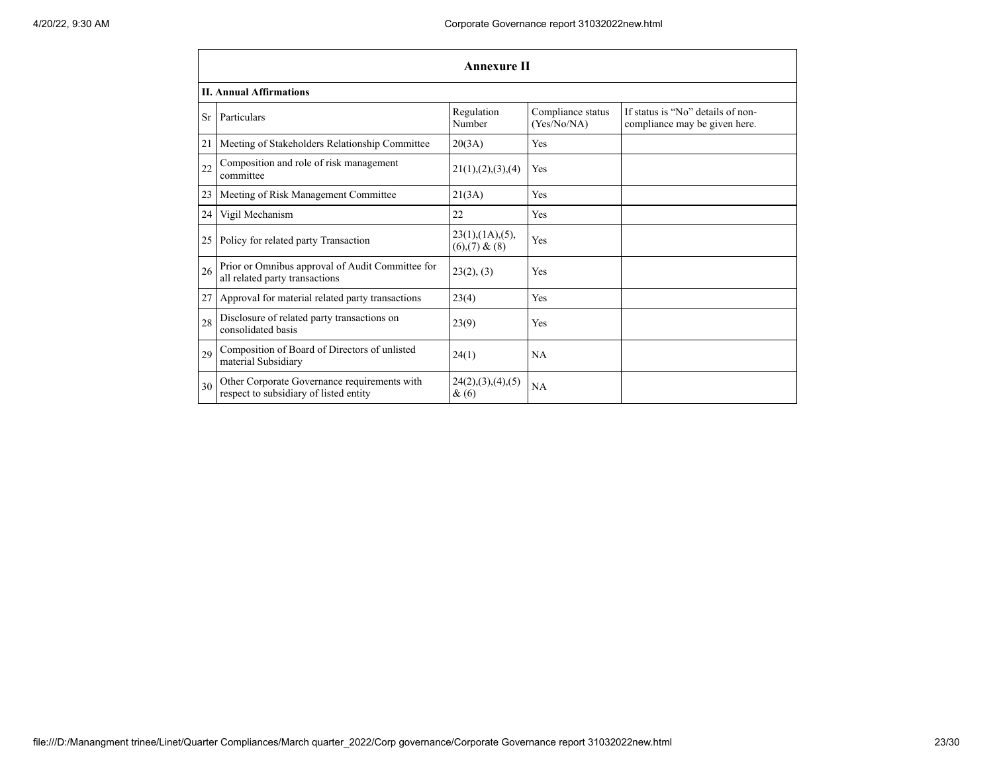|    | <b>Annexure II</b>                                                                     |                                                     |                                  |                                                                    |  |  |  |  |
|----|----------------------------------------------------------------------------------------|-----------------------------------------------------|----------------------------------|--------------------------------------------------------------------|--|--|--|--|
|    | <b>II. Annual Affirmations</b>                                                         |                                                     |                                  |                                                                    |  |  |  |  |
| Sr | Particulars                                                                            | Regulation<br>Number                                | Compliance status<br>(Yes/No/NA) | If status is "No" details of non-<br>compliance may be given here. |  |  |  |  |
| 21 | Meeting of Stakeholders Relationship Committee                                         | 20(3A)                                              | Yes                              |                                                                    |  |  |  |  |
| 22 | Composition and role of risk management<br>committee                                   | 21(1), (2), (3), (4)                                | Yes                              |                                                                    |  |  |  |  |
| 23 | Meeting of Risk Management Committee                                                   | 21(3A)                                              | Yes                              |                                                                    |  |  |  |  |
| 24 | Vigil Mechanism                                                                        | 22                                                  | Yes                              |                                                                    |  |  |  |  |
| 25 | Policy for related party Transaction                                                   | $23(1)$ , $(1A)$ , $(5)$ ,<br>$(6)$ , $(7)$ & $(8)$ | Yes                              |                                                                    |  |  |  |  |
| 26 | Prior or Omnibus approval of Audit Committee for<br>all related party transactions     | 23(2), (3)                                          | Yes                              |                                                                    |  |  |  |  |
| 27 | Approval for material related party transactions                                       | 23(4)                                               | Yes                              |                                                                    |  |  |  |  |
| 28 | Disclosure of related party transactions on<br>consolidated basis                      | 23(9)                                               | Yes                              |                                                                    |  |  |  |  |
| 29 | Composition of Board of Directors of unlisted<br>material Subsidiary                   | 24(1)                                               | <b>NA</b>                        |                                                                    |  |  |  |  |
| 30 | Other Corporate Governance requirements with<br>respect to subsidiary of listed entity | 24(2),(3),(4),(5)<br>$\&(6)$                        | NA                               |                                                                    |  |  |  |  |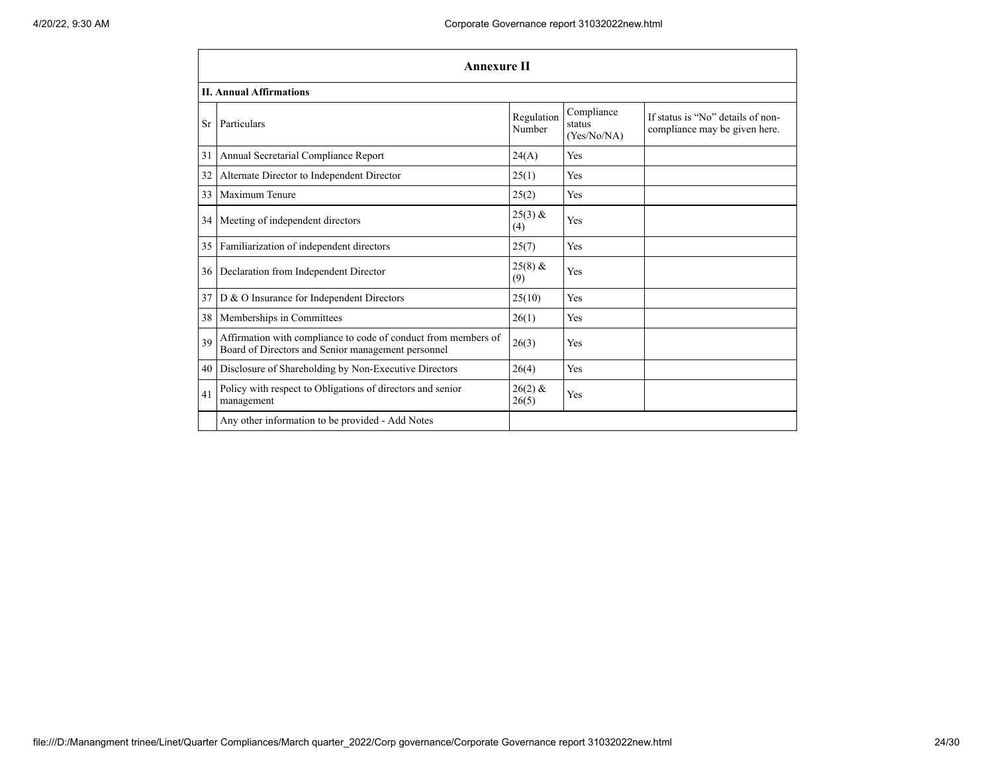|    | <b>Annexure II</b>                                                                                                   |                      |                                     |                                                                    |  |  |  |  |
|----|----------------------------------------------------------------------------------------------------------------------|----------------------|-------------------------------------|--------------------------------------------------------------------|--|--|--|--|
|    | <b>II. Annual Affirmations</b>                                                                                       |                      |                                     |                                                                    |  |  |  |  |
| Sr | Particulars                                                                                                          | Regulation<br>Number | Compliance<br>status<br>(Yes/No/NA) | If status is "No" details of non-<br>compliance may be given here. |  |  |  |  |
| 31 | Annual Secretarial Compliance Report                                                                                 | 24(A)                | Yes                                 |                                                                    |  |  |  |  |
| 32 | Alternate Director to Independent Director                                                                           | 25(1)                | Yes                                 |                                                                    |  |  |  |  |
| 33 | Maximum Tenure                                                                                                       | 25(2)                | Yes                                 |                                                                    |  |  |  |  |
|    | 34 Meeting of independent directors                                                                                  | $25(3)$ &<br>(4)     | Yes                                 |                                                                    |  |  |  |  |
| 35 | Familiarization of independent directors                                                                             | 25(7)                | Yes                                 |                                                                    |  |  |  |  |
|    | 36   Declaration from Independent Director                                                                           | $25(8)$ &<br>(9)     | Yes                                 |                                                                    |  |  |  |  |
|    | 37 D & O Insurance for Independent Directors                                                                         | 25(10)               | Yes                                 |                                                                    |  |  |  |  |
|    | 38 Memberships in Committees                                                                                         | 26(1)                | Yes                                 |                                                                    |  |  |  |  |
| 39 | Affirmation with compliance to code of conduct from members of<br>Board of Directors and Senior management personnel | 26(3)                | Yes                                 |                                                                    |  |  |  |  |
|    | 40   Disclosure of Shareholding by Non-Executive Directors                                                           | 26(4)                | Yes                                 |                                                                    |  |  |  |  |
| 41 | Policy with respect to Obligations of directors and senior<br>management                                             | $26(2)$ &<br>26(5)   | Yes                                 |                                                                    |  |  |  |  |
|    | Any other information to be provided - Add Notes                                                                     |                      |                                     |                                                                    |  |  |  |  |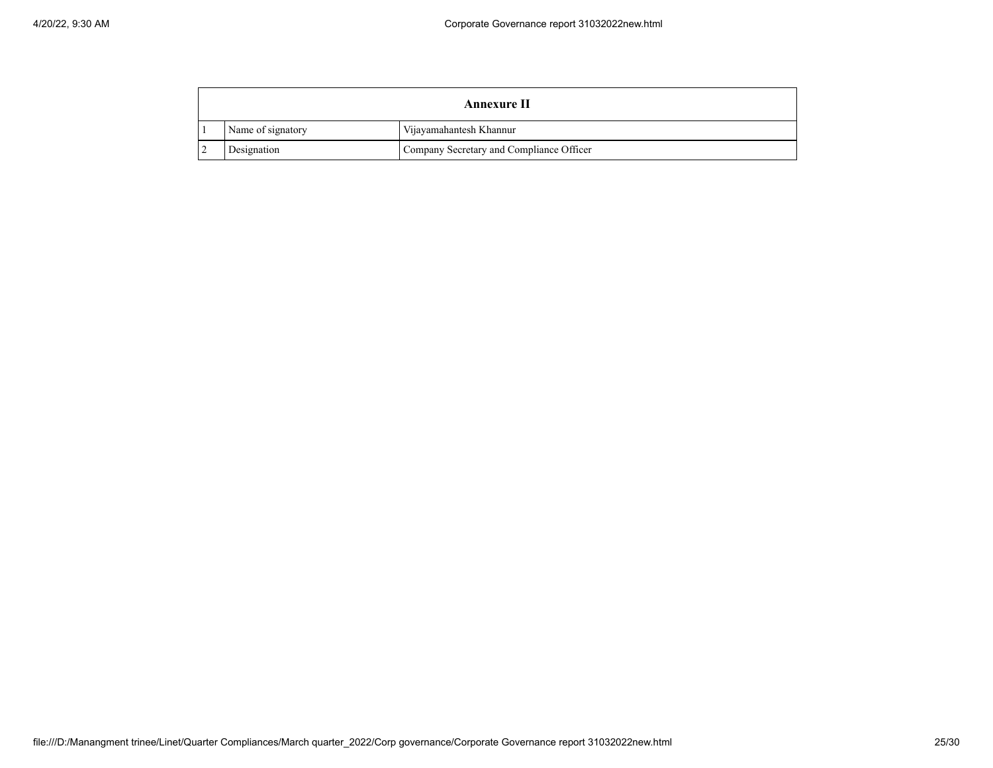| <b>Annexure II</b> |                                          |
|--------------------|------------------------------------------|
| Name of signatory  | Vijayamahantesh Khannur                  |
| Designation        | Company Secretary and Compliance Officer |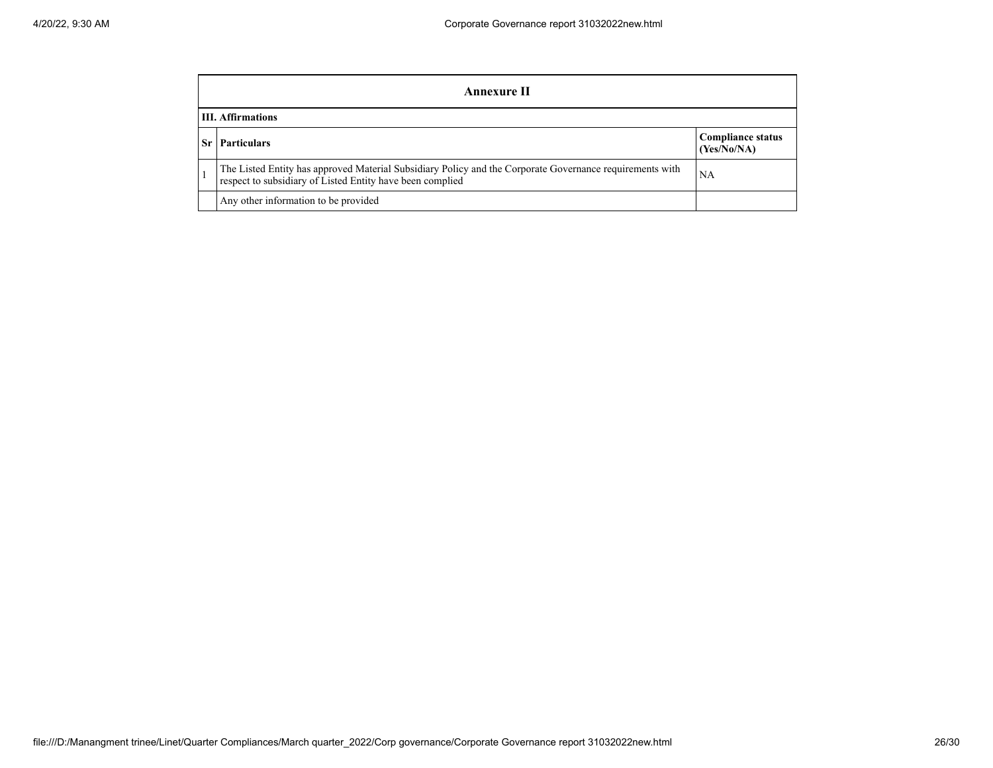| Annexure II              |                                                                                                                                                                       |                                         |  |  |
|--------------------------|-----------------------------------------------------------------------------------------------------------------------------------------------------------------------|-----------------------------------------|--|--|
| <b>III.</b> Affirmations |                                                                                                                                                                       |                                         |  |  |
| Sr l                     | <b>Particulars</b>                                                                                                                                                    | <b>Compliance status</b><br>(Yes/No/NA) |  |  |
|                          | The Listed Entity has approved Material Subsidiary Policy and the Corporate Governance requirements with<br>respect to subsidiary of Listed Entity have been complied | NA                                      |  |  |
|                          | Any other information to be provided                                                                                                                                  |                                         |  |  |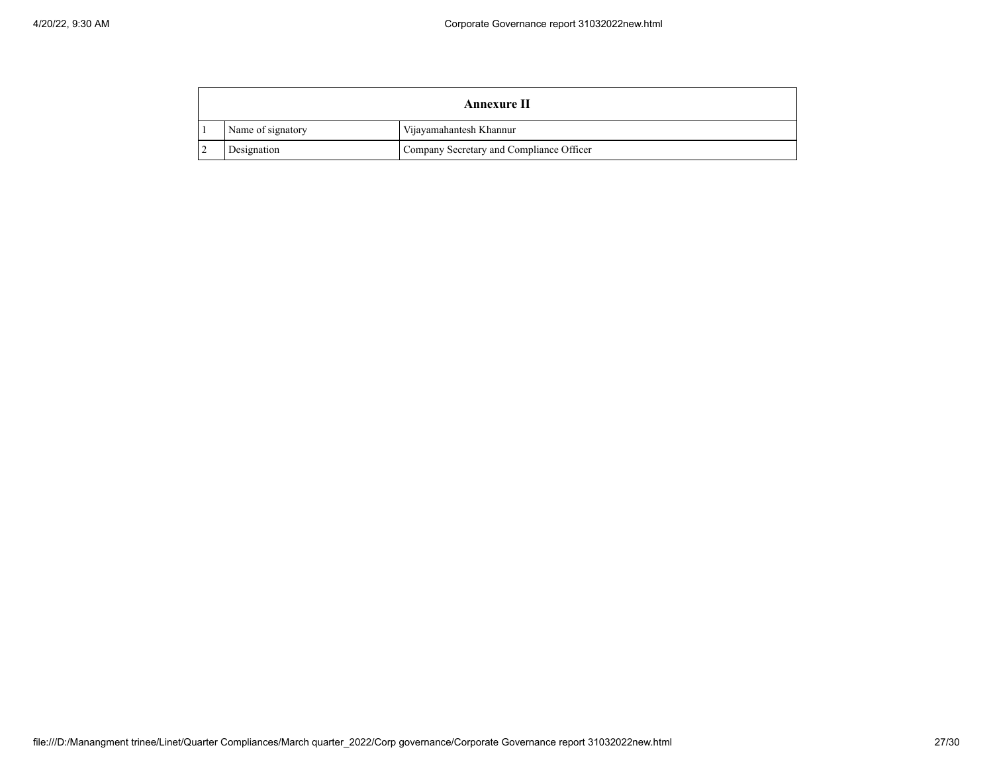| <b>Annexure II</b> |                                          |
|--------------------|------------------------------------------|
| Name of signatory  | Vijayamahantesh Khannur                  |
| Designation        | Company Secretary and Compliance Officer |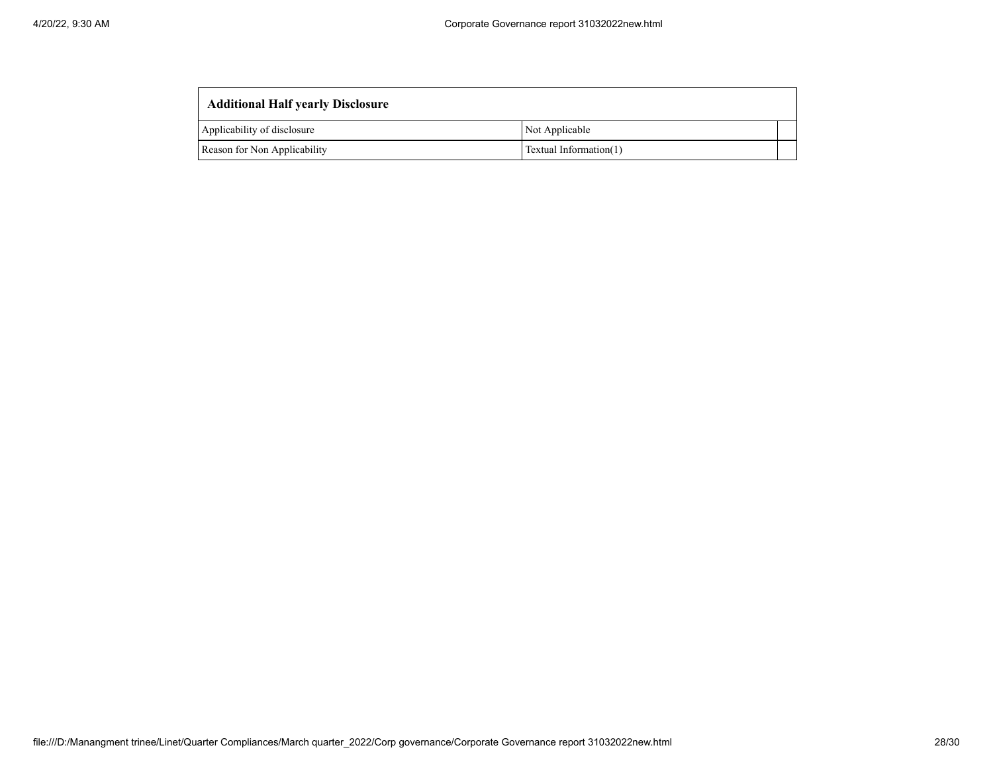| <b>Additional Half yearly Disclosure</b> |                        |  |
|------------------------------------------|------------------------|--|
| Applicability of disclosure              | Not Applicable         |  |
| Reason for Non Applicability             | Textual Information(1) |  |